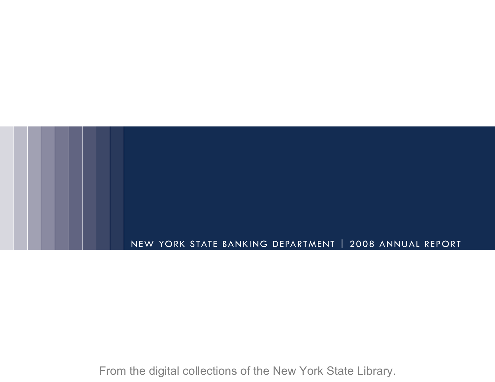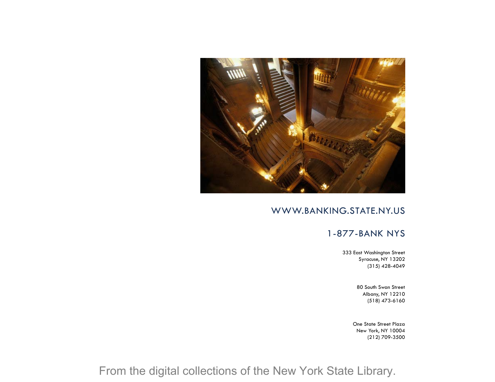

## WWW.BANKING.STATE.NY.US

## 1-877-BANK NYS

333 East Washington Street Syracuse, NY 13202 (315) 428-4049

> 80 South Swan Street Albany, NY 12210 (518) 473-6160

One State Street Plaza New York, NY 10004 (212) 709-3500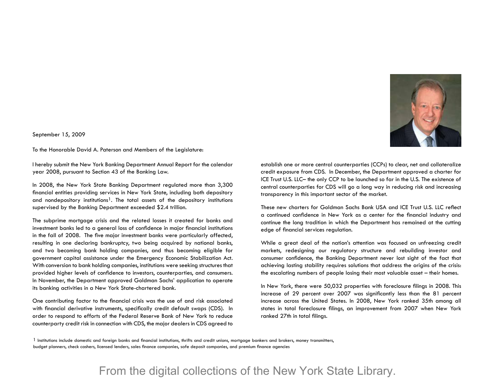

September 15, 2009

To the Honorable David A. Paterson and Members of the Legislature:

I hereby submit the New York Banking Department Annual Report for the calendar year 2008, pursuant to Section 43 of the Banking Law.

In 2008, the New York State Banking Department regulated more than 3,300 financial entities providing services in New York State, including both depository and nondepository institutions<sup>1</sup>. The total assets of the depository institutions supervised by the Banking Department exceeded \$2.4 trillion.

The subprime mortgage crisis and the related losses it created for banks and investment banks led to a general loss of confidence in major financial institutions in the fall of 2008. The five major investment banks were particularly affected, resulting in one declaring bankruptcy, two being acquired by national banks, and two becoming bank holding companies, and thus becoming eligible for government capital assistance under the Emergency Economic Stabilization Act. With conversion to bank holding companies, institutions were seeking structures that provided higher levels of confidence to investors, counterparties, and consumers. In November, the Department approved Goldman Sachs' application to operate its banking activities in a New York State-chartered bank.

One contributing factor to the financial crisis was the use of and risk associated with financial derivative instruments, specifically credit default swaps (CDS). In order to respond to efforts of the Federal Reserve Bank of New York to reduce counterparty credit risk in connection with CDS, the major dealers in CDS agreed to establish one or more central counterparties (CCPs) to clear, net and collateralize credit exposure from CDS. In December, the Department approved a charter for ICE Trust U.S. LLC– the only CCP to be launched so far in the U.S. The existence of central counterparties for CDS will go a long way in reducing risk and increasing transparency in this important sector of the market.

These new charters for Goldman Sachs Bank USA and ICE Trust U.S. LLC reflect a continued confidence in New York as a center for the financial industry and continue the long tradition in which the Department has remained at the cutting edge of financial services regulation.

While a great deal of the nation's attention was focused on unfreezing credit markets, redesigning our regulatory structure and rebuilding investor and consumer confidence, the Banking Department never lost sight of the fact that achieving lasting stability requires solutions that address the origins of the crisis: the escalating numbers of people losing their most valuable asset – their homes.

In New York, there were 50,032 properties with foreclosure filings in 2008. This increase of 29 percent over 2007 was significantly less than the 81 percent increase across the United States. In 2008, New York ranked 35th among all states in total foreclosure filings, an improvement from 2007 when New York ranked 27th in total filings.

 $<sup>1</sup>$  Institutions include domestic and foreign banks and financial institutions, thrifts and credit unions, mortgage bankers and brokers, money transmitters,</sup> budget planners, check cashers, licensed lenders, sales finance companies, safe deposit companies, and premium finance agencies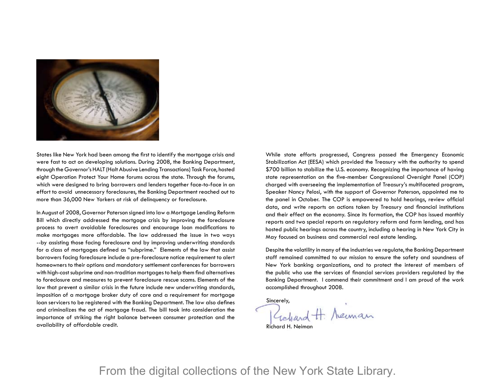

States like New York had been among the first to identify the mortgage crisis and were fast to act on developing solutions. During 2008, the Banking Department, through the Governor's HALT (Halt Abusive Lending Transactions) Task Force, hosted eight Operation Protect Your Home forums across the state. Through the forums, which were designed to bring borrowers and lenders together face-to-face in an effort to avoid unnecessary foreclosures, the Banking Department reached out to more than 36,000 New Yorkers at risk of delinquency or foreclosure.

In August of 2008, Governor Paterson signed into law a Mortgage Lending Reform Bill which directly addressed the mortgage crisis by improving the foreclosure process to avert avoidable foreclosures and encourage loan modifications to make mortgages more affordable. The law addressed the issue in two ways --by assisting those facing foreclosure and by improving underwriting standards for a class of mortgages defined as "subprime." Elements of the law that assist borrowers facing foreclosure include a pre-foreclosure notice requirement to alert homeowners to their options and mandatory settlement conferences for borrowers with high-cost subprime and non-tradition mortgages to help them find alternatives to foreclosure and measures to prevent foreclosure rescue scams. Elements of the law that prevent a similar crisis in the future include new underwriting standards, imposition of a mortgage broker duty of care and a requirement for mortgage loan servicers to be registered with the Banking Department. The law also defines and criminalizes the act of mortgage fraud. The bill took into consideration the importance of striking the right balance between consumer protection and the availability of affordable credit.

While state efforts progressed, Congress passed the Emergency Economic Stabilization Act (EESA) which provided the Treasury with the authority to spend \$700 billion to stabilize the U.S. economy. Recognizing the importance of having state representation on the five-member Congressional Oversight Panel (COP) charged with overseeing the implementation of Treasury's multifaceted program, Speaker Nancy Pelosi, with the support of Governor Paterson, appointed me to the panel in October. The COP is empowered to hold hearings, review official data, and write reports on actions taken by Treasury and financial institutions and their effect on the economy. Since its formation, the COP has issued monthly reports and two special reports on regulatory reform and farm lending, and has hosted public hearings across the country, including a hearing in New York City in May focused on business and commercial real estate lending.

Despite the volatility in many of the industries we regulate, the Banking Department staff remained committed to our mission to ensure the safety and soundness of New York banking organizations, and to protect the interest of members of the public who use the services of financial services providers regulated by the Banking Department. I commend their commitment and I am proud of the work accomplished throughout 2008.

Sincerely,

1 H. Neuman

Richard H. Neiman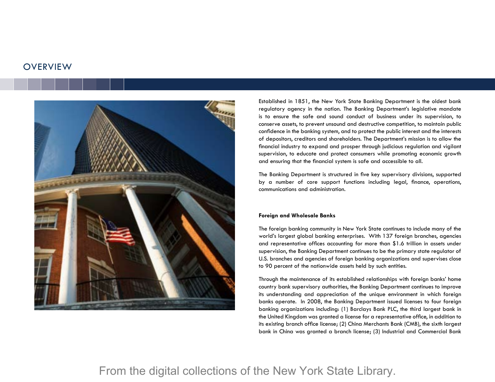## **OVERVIEW**



Established in 1851, the New York State Banking Department is the oldest bank regulatory agency in the nation. The Banking Department's legislative mandate is to ensure the safe and sound conduct of business under its supervision, to conserve assets, to prevent unsound and destructive competition, to maintain public confidence in the banking system, and to protect the public interest and the interests of depositors, creditors and shareholders. The Department's mission is to allow the financial industry to expand and prosper through judicious regulation and vigilant supervision, to educate and protect consumers while promoting economic growth and ensuring that the financial system is safe and accessible to all.

The Banking Department is structured in five key supervisory divisions, supported by a number of core support functions including legal, finance, operations, communications and administration.

#### **Foreign and Wholesale Banks**

The foreign banking community in New York State continues to include many of the world's largest global banking enterprises. With 137 foreign branches, agencies and representative offices accounting for more than \$1.6 trillion in assets under supervision, the Banking Department continues to be the primary state regulator of U.S. branches and agencies of foreign banking organizations and supervises close to 90 percent of the nationwide assets held by such entities.

Through the maintenance of its established relationships with foreign banks' home country bank supervisory authorities, the Banking Department continues to improve its understanding and appreciation of the unique environment in which foreign banks operate. In 2008, the Banking Department issued licenses to four foreign banking organizations including: (1) Barclays Bank PLC, the third largest bank in the United Kingdom was granted a license for a representative office, in addition to its existing branch office license; (2) China Merchants Bank (CMB), the sixth largest bank in China was granted a branch license; (3) Industrial and Commercial Bank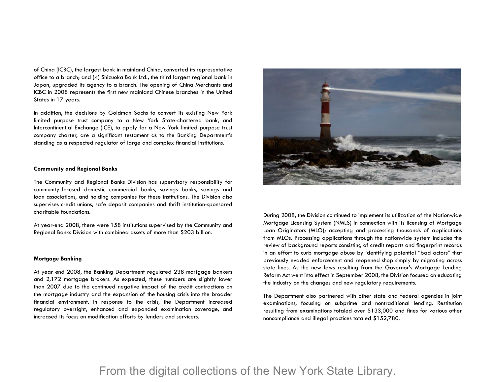of China (ICBC), the largest bank in mainland China, converted its representative office to a branch; and (4) Shizuoka Bank Ltd., the third largest regional bank in Japan, upgraded its agency to a branch. The opening of China Merchants and ICBC in 2008 represents the first new mainland Chinese branches in the United States in 17 years.

In addition, the decisions by Goldman Sachs to convert its existing New York limited purpose trust company to a New York State-chartered bank, and Intercontinential Exchange (ICE), to apply for a New York limited purpose trust company charter, are a significant testament as to the Banking Department's standing as a respected regulator of large and complex financial institutions.

#### **Community and Regional Banks**

The Community and Regional Banks Division has supervisory responsibility for community-focused domestic commercial banks, savings banks, savings and loan associations, and holding companies for these institutions. The Division also supervises credit unions, safe deposit companies and thrift institution-sponsored charitable foundations.

At year-end 2008, there were 158 institutions supervised by the Community and Regional Banks Division with combined assets of more than \$203 billion.

#### **Mortgage Banking**

At year end 2008, the Banking Department regulated 238 mortgage bankers and 2,172 mortgage brokers. As expected, these numbers are slightly lower than 2007 due to the continued negative impact of the credit contractions on the mortgage industry and the expansion of the housing crisis into the broader financial environment. In response to the crisis, the Department increased regulatory oversight, enhanced and expanded examination coverage, and increased its focus on modification efforts by lenders and servicers.



During 2008, the Division continued to implement its utilization of the Nationwide Mortgage Licensing System (NMLS) in connection with its licensing of Mortgage Loan Originators (MLO); accepting and processing thousands of applications from MLOs. Processing applications through the nationwide system includes the review of background reports consisting of credit reports and fingerprint records in an effort to curb mortgage abuse by identifying potential "bad actors" that previously evaded enforcement and reopened shop simply by migrating across state lines. As the new laws resulting from the Governor's Mortgage Lending Reform Act went into effect in September 2008, the Division focused on educating the industry on the changes and new regulatory requirements.

The Department also partnered with other state and federal agencies in joint examinations, focusing on subprime and nontraditional lending. Restitution resulting from examinations totaled over \$133,000 and fines for various other noncompliance and illegal practices totaled \$152,780.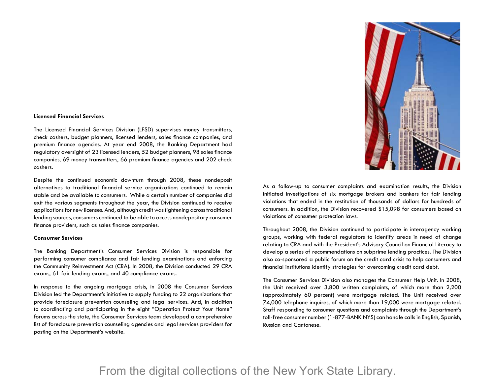#### **Licensed Financial Services**

The Licensed Financial Services Division (LFSD) supervises money transmitters, check cashers, budget planners, licensed lenders, sales finance companies, and premium finance agencies. At year end 2008, the Banking Department had regulatory oversight of 23 licensed lenders, 52 budget planners, 98 sales finance companies, 69 money transmitters, 66 premium finance agencies and 202 check cashers.

Despite the continued economic downturn through 2008, these nondeposit alternatives to traditional financial service organizations continued to remain stable and be available to consumers. While a certain number of companies did exit the various segments throughout the year, the Division continued to receive applications for new licenses. And, although credit was tightening across traditional lending sources, consumers continued to be able to access nondepositary consumer finance providers, such as sales finance companies.

#### **Consumer Services**

The Banking Department's Consumer Services Division is responsible for performing consumer compliance and fair lending examinations and enforcing the Community Reinvestment Act (CRA). In 2008, the Division conducted 29 CRA exams, 61 fair lending exams, and 40 compliance exams.

In response to the ongoing mortgage crisis, in 2008 the Consumer Services Division led the Department's initiative to supply funding to 22 organizations that provide foreclosure prevention counseling and legal services. And, in addition to coordinating and participating in the eight "Operation Protect Your Home" forums across the state, the Consumer Services team developed a comprehensive list of foreclosure prevention counseling agencies and legal services providers for posting on the Department's website.



As a follow-up to consumer complaints and examination results, the Division initiated investigations of six mortgage brokers and bankers for fair lending violations that ended in the restitution of thousands of dollars for hundreds of consumers. In addition, the Division recovered \$15,098 for consumers based on violations of consumer protection laws.

Throughout 2008, the Division continued to participate in interagency working groups, working with federal regulators to identify areas in need of change relating to CRA and with the President's Advisory Council on Financial Literacy to develop a series of recommendations on subprime lending practices. The Division also co-sponsored a public forum on the credit card crisis to help consumers and financial institutions identify strategies for overcoming credit card debt.

The Consumer Services Division also manages the Consumer Help Unit. In 2008, the Unit received over 3,800 written complaints, of which more than 2,200 (approximately 60 percent) were mortgage related. The Unit received over 74,000 telephone inquires, of which more than 19,000 were mortgage related. Staff responding to consumer questions and complaints through the Department's toll-free consumer number (1-877-BANK NYS) can handle calls in English, Spanish, Russian and Cantonese.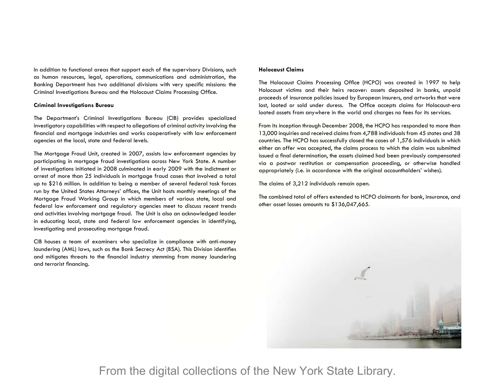In addition to functional areas that support each of the supervisory Divisions, such as human resources, legal, operations, communications and administration, the Banking Department has two additional divisions with very specific missions: the Criminal Investigations Bureau and the Holocaust Claims Processing Office.

#### **Criminal Investigations Bureau**

The Department's Criminal Investigations Bureau (CIB) provides specialized investigatory capabilities with respect to allegations of criminal activity involving the financial and mortgage industries and works cooperatively with law enforcement agencies at the local, state and federal levels.

The Mortgage Fraud Unit, created in 2007, assists law enforcement agencies by participating in mortgage fraud investigations across New York State. A number of investigations initiated in 2008 culminated in early 2009 with the indictment or arrest of more than 25 individuals in mortgage fraud cases that involved a total up to \$216 million. In addition to being a member of several federal task forces run by the United States Attorneys' offices, the Unit hosts monthly meetings of the Mortgage Fraud Working Group in which members of various state, local and federal law enforcement and regulatory agencies meet to discuss recent trends and activities involving mortgage fraud. The Unit is also an acknowledged leader in educating local, state and federal law enforcement agencies in identifying, investigating and prosecuting mortgage fraud.

CIB houses a team of examiners who specialize in compliance with anti-money laundering (AML) laws, such as the Bank Secrecy Act (BSA). This Division identifies and mitigates threats to the financial industry stemming from money laundering and terrorist financing.

#### **Holocaust Claims**

The Holocaust Claims Processing Office (HCPO) was created in 1997 to help Holocaust victims and their heirs recover: assets deposited in banks, unpaid proceeds of insurance policies issued by European insurers, and artworks that were lost, looted or sold under duress. The Office accepts claims for Holocaust-era looted assets from anywhere in the world and charges no fees for its services.

From its inception through December 2008, the HCPO has responded to more than 13,000 inquiries and received claims from 4,788 individuals from 45 states and 38 countries. The HCPO has successfully closed the cases of 1,576 individuals in which either an offer was accepted, the claims process to which the claim was submitted issued a final determination, the assets claimed had been previously compensated via a postwar restitution or compensation proceeding, or otherwise handled appropriately (i.e. in accordance with the original accountholders' wishes).

The claims of 3,212 individuals remain open.

The combined total of offers extended to HCPO claimants for bank, insurance, and other asset losses amounts to \$136,047,665.

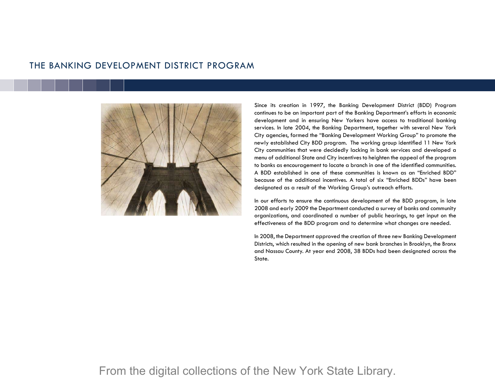## THE BANKING DEVELOPMENT DISTRICT PROGRAM



Since its creation in 1997, the Banking Development District (BDD) Program continues to be an important part of the Banking Department's efforts in economic development and in ensuring New Yorkers have access to traditional banking services. In late 2004, the Banking Department, together with several New York City agencies, formed the "Banking Development Working Group" to promote the newly established City BDD program. The working group identified 11 New York City communities that were decidedly lacking in bank services and developed a menu of additional State and City incentives to heighten the appeal of the program to banks as encouragement to locate a branch in one of the identified communities. A BDD established in one of these communities is known as an "Enriched BDD" because of the additional incentives. A total of six "Enriched BDDs" have been designated as a result of the Working Group's outreach efforts.

In our efforts to ensure the continuous development of the BDD program, in late 2008 and early 2009 the Department conducted a survey of banks and community organizations, and coordinated a number of public hearings, to get input on the effectiveness of the BDD program and to determine what changes are needed.

In 2008, the Department approved the creation of three new Banking Development Districts, which resulted in the opening of new bank branches in Brooklyn, the Bronx and Nassau County. At year end 2008, 38 BDDs had been designated across the State.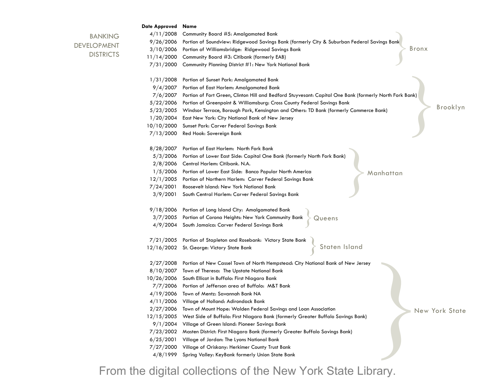|                    | <b>Date Approved</b> | Name                                                                                                    |
|--------------------|----------------------|---------------------------------------------------------------------------------------------------------|
| <b>BANKING</b>     | 4/11/2008            | Community Board #5: Amalgamated Bank                                                                    |
| <b>DEVELOPMENT</b> | 9/26/2006            | Portion of Soundview: Ridgewood Savings Bank (formerly City & Suburban Federal Savings Bank             |
|                    | 3/10/2006            | <b>Bronx</b><br>Portion of Williamsbridge: Ridgewood Savings Bank                                       |
| <b>DISTRICTS</b>   | 11/14/2000           | Community Board #3: Citibank (formerly EAB)                                                             |
|                    | 7/31/2000            | Community Planning District #1: New York National Bank                                                  |
|                    |                      |                                                                                                         |
|                    | 1/31/2008            | Portion of Sunset Park: Amalgamated Bank                                                                |
|                    | 9/4/2007             | Portion of East Harlem: Amalgamated Bank                                                                |
|                    | 7/6/2007             | Portion of Fort Green, Clinton Hill and Bedford Stuyvesant: Capital One Bank (formerly North Fork Bank) |
|                    | 5/22/2006            | Portion of Greenpoint & Williamsburg: Cross County Federal Savings Bank<br>Brooklyn                     |
|                    | 5/23/2005            | Windsor Terrace, Borough Park, Kensington and Others: TD Bank (formerly Commerce Bank)                  |
|                    | 1/20/2004            | East New York: City National Bank of New Jersey                                                         |
|                    | 10/10/2000           | Sunset Park: Carver Federal Savings Bank                                                                |
|                    | 7/13/2000            | Red Hook: Sovereign Bank                                                                                |
|                    | 8/28/2007            | Portion of East Harlem: North Fork Bank                                                                 |
|                    | 5/3/2006             | Portion of Lower East Side: Capital One Bank (formerly North Fork Bank)                                 |
|                    | 2/8/2006             | Central Harlem: Citibank. N.A.                                                                          |
|                    | 1/5/2006             | Portion of Lower East Side: Banco Popular North America<br>Manhattan                                    |
|                    | 12/1/2005            | Portion of Northern Harlem: Carver Federal Savings Bank                                                 |
|                    | 7/24/2001            | Roosevelt Island: New York National Bank                                                                |
|                    | 3/9/2001             | South Central Harlem: Carver Federal Savings Bank                                                       |
|                    | 9/18/2006            | Portion of Long Island City: Amalgamated Bank                                                           |
|                    | 3/7/2005             | Portion of Corona Heights: New York Community Bank<br>Queens                                            |
|                    | 4/9/2004             | South Jamaica: Carver Federal Savings Bank                                                              |
|                    |                      |                                                                                                         |
|                    | 7/21/2005            | Portion of Stapleton and Rosebank: Victory State Bank                                                   |
|                    |                      | Staten Island<br>12/16/2002 St. George: Victory State Bank                                              |
|                    | 2/27/2008            | Portion of New Cassel Town of North Hempstead: City National Bank of New Jersey                         |
|                    | 8/10/2007            | Town of Theresa: The Upstate National Bank                                                              |
|                    | 10/26/2006           | South Ellicot in Buffalo: First Niagara Bank                                                            |
|                    | 7/7/2006             | Portion of Jefferson area of Buffalo: M&T Bank                                                          |
|                    | 4/19/2006            | Town of Mentz: Savannah Bank NA                                                                         |
|                    | 4/11/2006            | Village of Holland: Adirondack Bank                                                                     |
|                    | 2/27/2006            | Town of Mount Hope: Walden Federal Savings and Loan Association<br>New York State                       |
|                    | 12/15/2005           | West Side of Buffalo: First Niagara Bank (formerly Greater Buffalo Savings Bank)                        |
|                    | 9/1/2004             | Village of Green Island: Pioneer Savings Bank                                                           |
|                    | 7/23/2002            | Masten District: First Niagara Bank (formerly Greater Buffalo Savings Bank)                             |
|                    | 6/25/2001            | Village of Jordan: The Lyons National Bank                                                              |
|                    | 7/27/2000            | Village of Oriskany: Herkimer County Trust Bank                                                         |
|                    | 4/8/1999             | Spring Valley: KeyBank formerly Union State Bank                                                        |
|                    |                      |                                                                                                         |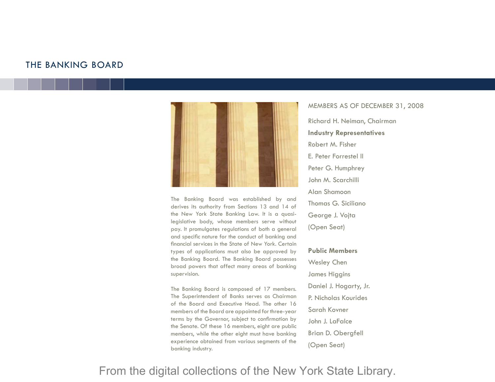## THE BANKING BOARD



The Banking Board was established by and derives its authority from Sections 13 and 14 of the New York State Banking Law. It is a quasilegislative body, whose members serve without pay. It promulgates regulations of both a general and specific nature for the conduct of banking and financial services in the State of New York. Certain types of applications must also be approved by the Banking Board. The Banking Board possesses broad powers that affect many areas of banking supervision.

The Banking Board is composed of 17 members. The Superintendent of Banks serves as Chairman of the Board and Executive Head. The other 16 members of the Board are appointed for three-year terms by the Governor, subject to confirmation by the Senate. Of these 16 members, eight are public members, while the other eight must have banking experience obtained from various segments of the banking industry.

### MEMBERS AS OF DECEMBER 31, 2008

Richard H. Neiman, Chairman **Industry Representatives** Robert M. Fisher E. Peter Forrestel II Peter G. Humphrey John M. Scarchilli Alan Shamoon Thomas G. Siciliano George J. Vojta (Open Seat)

Wesley Chen James Higgins Daniel J. Hogarty, Jr. P. Nicholas Kourides Sarah Kovner John J. LaFalce Brian D. Obergfell (Open Seat)

**Public Members**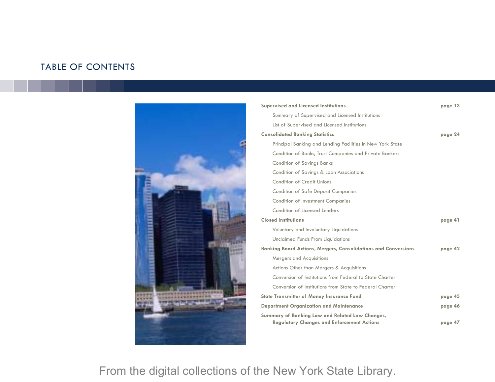## TABLE OF CONTENTS



| <b>Supervised and Licensed Institutions</b>                           | page 13 |
|-----------------------------------------------------------------------|---------|
| Summary of Supervised and Licensed Institutions                       |         |
| List of Supervised and Licensed Institutions                          |         |
| <b>Consolidated Banking Statistics</b>                                | page 24 |
| Principal Banking and Lending Facilities in New York State            |         |
| Condition of Banks, Trust Companies and Private Bankers               |         |
| <b>Condition of Savings Banks</b>                                     |         |
| Condition of Savings & Loan Associations                              |         |
| Condition of Credit Unions                                            |         |
| <b>Condition of Safe Deposit Companies</b>                            |         |
| <b>Condition of Investment Companies</b>                              |         |
| Condition of Licensed Lenders                                         |         |
| <b>Closed Institutions</b>                                            | page 41 |
| Voluntary and Involuntary Liquidations                                |         |
| Unclaimed Funds From Liquidations                                     |         |
| <b>Banking Board Actions, Mergers, Consolidations and Conversions</b> | page 42 |
| Mergers and Acquisitions                                              |         |
| Actions Other than Mergers & Acquisitions                             |         |
| Conversion of Institutions from Federal to State Charter              |         |
| Conversion of Institutions from State to Federal Charter              |         |
| <b>State Transmitter of Money Insurance Fund</b>                      | page 45 |
| <b>Department Organization and Maintenance</b>                        | page 46 |
| Summary of Banking Law and Related Law Changes,                       |         |
| <b>Regulatory Changes and Enforcement Actions</b>                     | page 47 |
|                                                                       |         |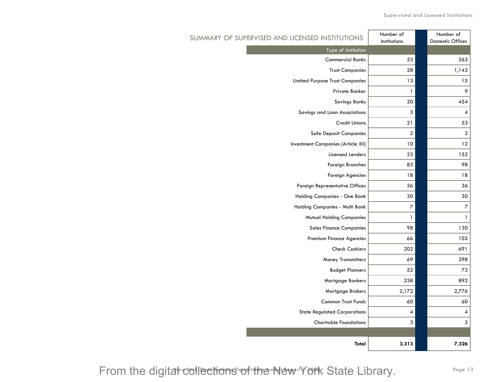| SUMMARY OF SUPERVISED AND LICENSED INSTITUTIONS | Number of<br>Institutions | Number of<br>Domestic Offices |
|-------------------------------------------------|---------------------------|-------------------------------|
| Type of Institution                             |                           |                               |
| <b>Commercial Banks</b>                         | 53                        | 263                           |
| <b>Trust Companies</b>                          | 28                        | 1,143                         |
| <b>Limited Purpose Trust Companies</b>          | 13                        | 15                            |
| Private Banker                                  | 1                         | 9                             |
| <b>Savings Banks</b>                            | 20                        | 454                           |
| Savings and Loan Associations                   | 3                         | 4                             |
| <b>Credit Unions</b>                            | 21                        | 53                            |
| <b>Safe Deposit Companies</b>                   | $\boldsymbol{2}$          | $\overline{2}$                |
| Investment Companies (Article XII)              | 10                        | 12                            |
| Licensed Lenders                                | 23                        | 152                           |
| <b>Foreign Branches</b>                         | 83                        | 98                            |
| Foreign Agencies                                | 18                        | 18                            |
| Foreign Representative Offices                  | 36                        | 36                            |
| Holding Companies - One Bank                    | 30                        | 30                            |
| Holding Companies - Multi Bank                  | 7                         | $\overline{z}$                |
| <b>Mutual Holding Companies</b>                 | 1                         | $\mathbf{1}$                  |
| <b>Sales Finance Companies</b>                  | 98                        | 130                           |
| <b>Premium Finance Agencies</b>                 | 66                        | 102                           |
| <b>Check Cashiers</b>                           | 202                       | 691                           |
| <b>Money Transmitters</b>                       | 69                        | 298                           |
| <b>Budget Planners</b>                          | 52                        | 73                            |
| Mortgage Bankers                                | 238                       | 892                           |
| Mortgage Brokers                                | 2,172                     | 2,776                         |
| Common Trust Funds                              | 60                        | 60                            |
| <b>State Regulated Corporations</b>             | 4                         | 4                             |
| <b>Charitable Foundations</b>                   | 3                         | $\mathsf 3$                   |
|                                                 |                           |                               |
| Total                                           | 3,313                     | 7,326                         |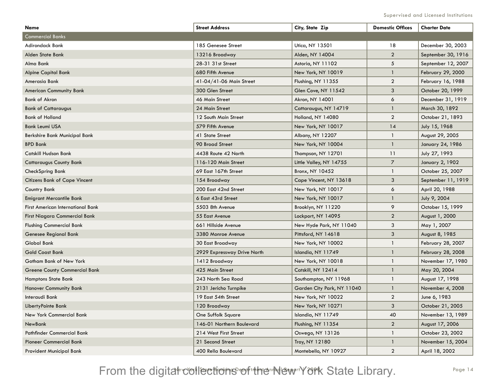Supervised and Licensed Institutions

| Name                                 | <b>Street Address</b>       | City, State Zip            | <b>Domestic Offices</b> | <b>Charter Date</b> |
|--------------------------------------|-----------------------------|----------------------------|-------------------------|---------------------|
| <b>Commercial Banks</b>              |                             |                            |                         |                     |
| Adirondack Bank                      | 185 Genesee Street          | Utica, NY 13501            | 18                      | December 30, 2003   |
| Alden State Bank                     | 13216 Broadway              | Alden, NY 14004            | $\overline{2}$          | September 30, 1916  |
| Alma Bank                            | 28-31 31st Street           | Astoria, NY 11102          | 5                       | September 12, 2007  |
| <b>Alpine Capital Bank</b>           | 680 Fifth Avenue            | New York, NY 10019         | -1                      | February 29, 2000   |
| Amerasia Bank                        | 41-04/41-06 Main Street     | Flushing, NY 11355         | $\overline{2}$          | February 16, 1988   |
| <b>American Community Bank</b>       | 300 Glen Street             | Glen Cove, NY 11542        | 3                       | October 20, 1999    |
| <b>Bank of Akron</b>                 | 46 Main Street              | Akron, NY 14001            | 6                       | December 31, 1919   |
| <b>Bank of Cattaraugus</b>           | 24 Main Street              | Cattaraugus, NY 14719      | $\mathbf{1}$            | March 30, 1892      |
| <b>Bank of Holland</b>               | 12 South Main Street        | Holland, NY 14080          | $\overline{2}$          | October 21, 1893    |
| <b>Bank Leumi USA</b>                | 579 Fifth Avenue            | New York, NY 10017         | 14                      | July 15, 1968       |
| Berkshire Bank Municipal Bank        | 41 State Street             | Albany, NY 12207           | $\mathbf{1}$            | August 29, 2005     |
| <b>BPD Bank</b>                      | 90 Broad Street             | New York, NY 10004         | $\mathbf{1}$            | January 24, 1986    |
| Catskill Hudson Bank                 | 4438 Route 42 North         | Thompson, NY 12701         | 11                      | July 27, 1993       |
| <b>Cattaraugus County Bank</b>       | 116-120 Main Street         | Little Valley, NY 14755    | 7                       | January 2, 1902     |
| <b>CheckSpring Bank</b>              | 69 East 167th Street        | Bronx, NY 10452            | $\mathbf{1}$            | October 25, 2007    |
| <b>Citizens Bank of Cape Vincent</b> | 154 Broadway                | Cape Vincent, NY 13618     | 3                       | September 11, 1919  |
| Country Bank                         | 200 East 42nd Street        | New York, NY 10017         | 6                       | April 20, 1988      |
| <b>Emigrant Mercantile Bank</b>      | 6 East 43rd Street          | New York, NY 10017         | 1                       | July 9, 2004        |
| First American International Bank    | 5503 8th Avenue             | Brooklyn, NY 11220         | 9                       | October 15, 1999    |
| First Niagara Commercial Bank        | 55 East Avenue              | Lockport, NY 14095         | $\overline{2}$          | August 1, 2000      |
| <b>Flushing Commercial Bank</b>      | 661 Hillside Avenue         | New Hyde Park, NY 11040    | 3                       | May 1, 2007         |
| Genesee Regional Bank                | 3380 Monroe Avenue          | Pittsford, NY 14618        | 3                       | August 8, 1985      |
| Global Bank                          | 30 East Broadway            | New York, NY 10002         | $\mathbf{1}$            | February 28, 2007   |
| <b>Gold Coast Bank</b>               | 2929 Expressway Drive North | Islandia, NY 11749         | $\mathbf{1}$            | February 28, 2008   |
| Gotham Bank of New York              | 1412 Broadway               | New York, NY 10018         | $\mathbf{1}$            | November 17, 1980   |
| <b>Greene County Commercial Bank</b> | 425 Main Street             | Catskill, NY 12414         | $\mathbf{1}$            | May 20, 2004        |
| <b>Hamptons State Bank</b>           | 243 North Sea Road          | Southampton, NY 11968      | 1                       | August 17, 1998     |
| <b>Hanover Community Bank</b>        | 2131 Jericho Turnpike       | Garden City Park, NY 11040 | $\mathbf{1}$            | November 4, 2008    |
| Interaudi Bank                       | 19 East 54th Street         | New York, NY 10022         | $\overline{2}$          | June 6, 1983        |
| LibertyPointe Bank                   | 120 Broadway                | New York, NY 10271         | 3                       | October 21, 2005    |
| New York Commercial Bank             | One Suffolk Square          | Islandia, NY 11749         | 40                      | November 13, 1989   |
| <b>NewBank</b>                       | 146-01 Northern Boulevard   | Flushing, NY 11354         | $\overline{2}$          | August 17, 2006     |
| Pathfinder Commercial Bank           | 214 West First Street       | Oswego, NY 13126           | $\mathbf{1}$            | October 23, 2002    |
| Pioneer Commercial Bank              | 21 Second Street            | Troy, NY 12180             | 1                       | November 15, 2004   |
| Provident Municipal Bank             | 400 Rella Boulevard         | Montebello, NY 10927       | $\overline{a}$          | April 18, 2002      |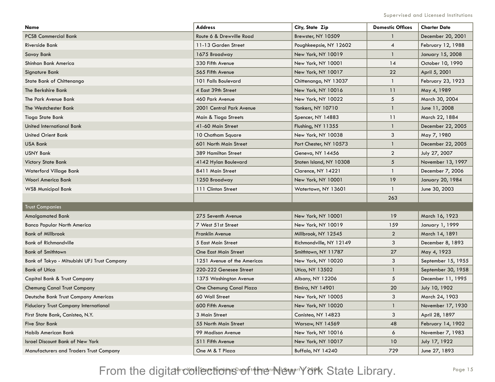| Name                                         | <b>Address</b>              | City, State Zip         | <b>Domestic Offices</b> | <b>Charter Date</b> |
|----------------------------------------------|-----------------------------|-------------------------|-------------------------|---------------------|
| <b>PCSB Commercial Bank</b>                  | Route 6 & Drewville Road    | Brewster, NY 10509      |                         | December 20, 2001   |
| Riverside Bank                               | 11-13 Garden Street         | Poughkeepsie, NY 12602  | 4                       | February 12, 1988   |
| Savoy Bank                                   | 1675 Broadway               | New York, NY 10019      | 1                       | January 15, 2008    |
| Shinhan Bank America                         | 330 Fifth Avenue            | New York, NY 10001      | 14                      | October 10, 1990    |
| Signature Bank                               | 565 Fifth Avenue            | New York, NY 10017      | 22                      | April 5, 2001       |
| State Bank of Chittenango                    | 101 Falls Boulevard         | Chittenango, NY 13037   | $\mathbf{1}$            | February 23, 1923   |
| The Berkshire Bank                           | 4 East 39th Street          | New York, NY 10016      | 11                      | May 4, 1989         |
| The Park Avenue Bank                         | 460 Park Avenue             | New York, NY 10022      | 5                       | March 30, 2004      |
| The Westchester Bank                         | 2001 Central Park Avenue    | Yonkers, NY 10710       | 1                       | June 11, 2008       |
| Tioga State Bank                             | Main & Tioga Streets        | Spencer, NY 14883       | 11                      | March 22, 1884      |
| United International Bank                    | 41-60 Main Street           | Flushing, NY 11355      | $\mathbf{1}$            | December 22, 2005   |
| <b>United Orient Bank</b>                    | 10 Chatham Square           | New York, NY 10038      | 3                       | May 7, 1980         |
| <b>USA Bank</b>                              | 601 North Main Street       | Port Chester, NY 10573  | 1                       | December 22, 2005   |
| <b>USNY Bank</b>                             | 389 Hamilton Street         | Geneva, NY 14456        | $\overline{2}$          | July 27, 2007       |
| <b>Victory State Bank</b>                    | 4142 Hylan Boulevard        | Staten Island, NY 10308 | 5                       | November 13, 1997   |
| Waterford Village Bank                       | 8411 Main Street            | Clarence, NY 14221      | 1                       | December 7, 2006    |
| Woori America Bank                           | 1250 Broadway               | New York, NY 10001      | 19                      | January 20, 1984    |
| <b>WSB Municipal Bank</b>                    | 111 Clinton Street          | Watertown, NY 13601     | $\mathbf{1}$            | June 30, 2003       |
|                                              |                             |                         | 263                     |                     |
| <b>Trust Companies</b>                       |                             |                         |                         |                     |
| <b>Amalgamated Bank</b>                      | 275 Seventh Avenue          | New York, NY 10001      | 19                      | March 16, 1923      |
| <b>Banco Popular North America</b>           | 7 West 51st Street          | New York, NY 10019      | 159                     | January 1, 1999     |
| <b>Bank of Millbrook</b>                     | Franklin Avenue             | Millbrook, NY 12545     | $\overline{2}$          | March 14, 1891      |
| <b>Bank of Richmondville</b>                 | 5 East Main Street          | Richmondville, NY 12149 | 3                       | December 8, 1893    |
| <b>Bank of Smithtown</b>                     | <b>One East Main Street</b> | Smithtown, NY 11787     | 27                      | May 4, 1923         |
| Bank of Tokyo - Mitsubishi UFJ Trust Company | 1251 Avenue of the Americas | New York, NY 10020      | 3                       | September 15, 1955  |
| <b>Bank of Utica</b>                         | 220-222 Genesee Street      | Utica, NY 13502         | $\mathbf{1}$            | September 30, 1958  |
| Capital Bank & Trust Company                 | 1375 Washington Avenue      | Albany, NY 12206        | 5                       | December 11, 1995   |
| <b>Chemung Canal Trust Company</b>           | One Chemung Canal Plaza     | Elmira, NY 14901        | 20                      | July 10, 1902       |
| Deutsche Bank Trust Company Americas         | 60 Wall Street              | New York, NY 10005      | 3                       | March 24, 1903      |
| Fiduciary Trust Company International        | 600 Fifth Avenue            | New York, NY 10020      | -1                      | November 17, 1930   |
| First State Bank, Canisteo, N.Y.             | 3 Main Street               | Canisteo, NY 14823      | 3                       | April 28, 1897      |
| <b>Five Star Bank</b>                        | 55 North Main Street        | <b>Warsaw, NY 14569</b> | 48                      | February 14, 1902   |
| Habib American Bank                          | 99 Madison Avenue           | New York, NY 10016      | 6                       | November 7, 1983    |
| <b>Israel Discount Bank of New York</b>      | 511 Fifth Avenue            | New York, NY 10017      | 10                      | July 17, 1922       |
| Manufacturers and Traders Trust Company      | One M & T Plaza             | Buffalo, NY 14240       | 729                     | June 27, 1893       |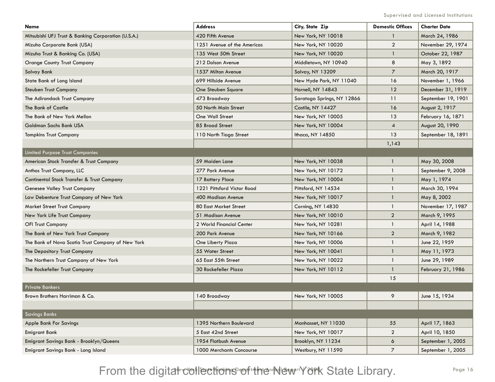| Name                                                | <b>Address</b>              | City, State Zip            | <b>Domestic Offices</b> | <b>Charter Date</b> |
|-----------------------------------------------------|-----------------------------|----------------------------|-------------------------|---------------------|
| Mitsubishi UFJ Trust & Banking Corporation (U.S.A.) | 420 Fifth Avenue            | New York, NY 10018         |                         | March 24, 1986      |
| Mizuho Corporate Bank (USA)                         | 1251 Avenue of the Americas | New York, NY 10020         | $\overline{2}$          | November 29, 1974   |
| Mizuho Trust & Banking Co. (USA)                    | 135 West 50th Street        | New York, NY 10020         | -1                      | October 22, 1987    |
| <b>Orange County Trust Company</b>                  | 212 Dolson Avenue           | Middletown, NY 10940       | 8                       | May 3, 1892         |
| Solvay Bank                                         | 1537 Milton Avenue          | Solvay, NY 13209           | $\overline{7}$          | March 20, 1917      |
| State Bank of Long Island                           | 699 Hillside Avenue         | New Hyde Park, NY 11040    | 16                      | November 1, 1966    |
| <b>Steuben Trust Company</b>                        | One Steuben Square          | Hornell, NY 14843          | 12                      | December 31, 1919   |
| The Adirondack Trust Company                        | 473 Broadway                | Saratoga Springs, NY 12866 | 11                      | September 19, 1901  |
| The Bank of Castile                                 | 50 North Main Street        | Castile, NY 14427          | 16                      | August 2, 1917      |
| The Bank of New York Mellon                         | One Wall Street             | New York, NY 10005         | 13                      | February 16, 1871   |
| Goldman Sachs Bank USA                              | 85 Broad Street             | New York, NY 10004         | $\overline{4}$          | August 20, 1990     |
| <b>Tompkins Trust Company</b>                       | 110 North Tioga Street      | Ithaca, NY 14850           | 13                      | September 18, 1891  |
|                                                     |                             |                            | 1,143                   |                     |
| Limited Purpose Trust Companies                     |                             |                            |                         |                     |
| American Stock Transfer & Trust Company             | 59 Maiden Lane              | New York, NY 10038         |                         | May 30, 2008        |
| Anthos Trust Company, LLC                           | 277 Park Avenue             | New York, NY 10172         | 1                       | September 9, 2008   |
| Continental Stock Transfer & Trust Company          | 17 Battery Place            | New York, NY 10004         | 1                       | May 1, 1974         |
| <b>Genesee Valley Trust Company</b>                 | 1221 Pittsford Victor Road  | Pittsford, NY 14534        | 1                       | March 30, 1994      |
| Law Debenture Trust Company of New York             | 400 Madison Avenue          | New York, NY 10017         | $\mathbf{1}$            | May 8, 2002         |
| Market Street Trust Company                         | 80 East Market Street       | Corning, NY 14830          | 1                       | November 17, 1987   |
| New York Life Trust Company                         | 51 Madison Avenue           | New York, NY 10010         | $\overline{2}$          | March 9, 1995       |
| <b>OFI Trust Company</b>                            | 2 World Financial Center    | New York, NY 10281         | 1                       | April 14, 1988      |
| The Bank of New York Trust Company                  | 200 Park Avenue             | New York, NY 10166         | $\overline{2}$          | March 9, 1982       |
| The Bank of Nova Scotia Trust Company of New York   | One Liberty Plaza           | New York, NY 10006         | 1                       | June 22, 1959       |
| The Depository Trust Company                        | 55 Water Street             | New York, NY 10041         | 1                       | May 11, 1973        |
| The Northern Trust Company of New York              | 65 East 55th Street         | New York, NY 10022         | 1                       | June 29, 1989       |
| The Rockefeller Trust Company                       | 30 Rockefeller Plaza        | New York, NY 10112         | 1                       | February 21, 1986   |
|                                                     |                             |                            | 15                      |                     |
| <b>Private Bankers</b>                              |                             |                            |                         |                     |
| Brown Brothers Harriman & Co.                       | 140 Broadway                | New York, NY 10005         | 9                       | June 15, 1934       |
|                                                     |                             |                            |                         |                     |
| <b>Savings Banks</b>                                |                             |                            |                         |                     |
| <b>Apple Bank For Savings</b>                       | 1395 Northern Boulevard     | Manhasset, NY 11030        | 55                      | April 17, 1863      |
| <b>Emigrant Bank</b>                                | 5 East 42nd Street          | New York, NY 10017         | $\overline{2}$          | April 10, 1850      |
| Emigrant Savings Bank - Brooklyn/Queens             | 1954 Flatbush Avenue        | Brooklyn, NY 11234         | 6                       | September 1, 2005   |
| Emigrant Savings Bank - Long Island                 | 1000 Merchants Concourse    | Westbury, NY 11590         | $\overline{7}$          | September 1, 2005   |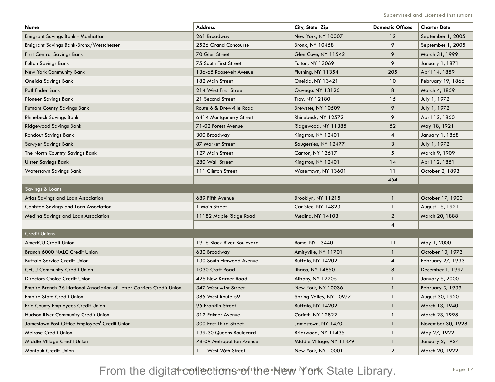| Name                                                                  | <b>Address</b>               | City, State Zip          | <b>Domestic Offices</b> | <b>Charter Date</b> |
|-----------------------------------------------------------------------|------------------------------|--------------------------|-------------------------|---------------------|
| Emigrant Savings Bank - Manhattan                                     | 261 Broadway                 | New York, NY 10007       | 12                      | September 1, 2005   |
| Emigrant Savings Bank-Bronx/Westchester                               | 2526 Grand Concourse         | Bronx, NY 10458          | 9                       | September 1, 2005   |
| <b>First Central Savings Bank</b>                                     | 70 Glen Street               | Glen Cove, NY 11542      | 9                       | March 31, 1999      |
| <b>Fulton Savings Bank</b>                                            | 75 South First Street        | Fulton, NY 13069         | 9                       | January 1, 1871     |
| New York Community Bank                                               | 136-65 Roosevelt Avenue      | Flushing, NY 11354       | 205                     | April 14, 1859      |
| Oneida Savings Bank                                                   | 182 Main Street              | Oneida, NY 13421         | 10                      | February 19, 1866   |
| Pathfinder Bank                                                       | 214 West First Street        | Oswego, NY 13126         | 8                       | March 4, 1859       |
| <b>Pioneer Savings Bank</b>                                           | 21 Second Street             | Troy, NY 12180           | 15                      | July 1, 1972        |
| Putnam County Savings Bank                                            | Route 6 & Drewville Road     | Brewster, NY 10509       | 9                       | July 1, 1972        |
| Rhinebeck Savings Bank                                                | 6414 Montgomery Street       | Rhinebeck, NY 12572      | 9                       | April 12, 1860      |
| <b>Ridgewood Savings Bank</b>                                         | 71-02 Forest Avenue          | Ridgewood, NY 11385      | 52                      | May 18, 1921        |
| <b>Rondout Savings Bank</b>                                           | 300 Broadway                 | Kingston, NY 12401       | 4                       | January 1, 1868     |
| Sawyer Savings Bank                                                   | 87 Market Street             | Saugerties, NY 12477     | 3                       | July 1, 1972        |
| The North Country Savings Bank                                        | 127 Main Street              | Canton, NY 13617         | 5                       | March 9, 1909       |
| <b>Ulster Savings Bank</b>                                            | 280 Wall Street              | Kingston, NY 12401       | 14                      | April 12, 1851      |
| <b>Watertown Savings Bank</b>                                         | 111 Clinton Street           | Watertown, NY 13601      | 11                      | October 2, 1893     |
|                                                                       |                              |                          | 454                     |                     |
| <b>Savings &amp; Loans</b>                                            |                              |                          |                         |                     |
| Atlas Savings and Loan Association                                    | 689 Fifth Avenue             | Brooklyn, NY 11215       | 1                       | October 17, 1900    |
| Canisteo Savings and Loan Association                                 | 1 Main Street                | Canisteo, NY 14823       | 1                       | August 15, 1921     |
| Medina Savings and Loan Association                                   | 11182 Maple Ridge Road       | Medina, NY 14103         | $\overline{2}$          | March 20, 1888      |
|                                                                       |                              |                          | 4                       |                     |
| <b>Credit Unions</b>                                                  |                              |                          |                         |                     |
| <b>AmeriCU Credit Union</b>                                           | 1916 Black River Boulevard   | Rome, NY 13440           | 11                      | May 1, 2000         |
| Branch 6000 NALC Credit Union                                         | 630 Broadway                 | Amityville, NY 11701     | -1                      | October 10, 1973    |
| <b>Buffalo Service Credit Union</b>                                   | 130 South Elmwood Avenue     | Buffalo, NY 14202        | 4                       | February 27, 1933   |
| <b>CFCU Community Credit Union</b>                                    | 1030 Craft Road              | Ithaca, NY 14850         | 8                       | December 1, 1997    |
| Directors Choice Credit Union                                         | 426 New Karner Road          | Albany, NY 12205         | 1                       | January 5, 2000     |
| Empire Branch 36 National Association of Letter Carriers Credit Union | 347 West 41st Street         | New York, NY 10036       | 1                       | February 3, 1939    |
| <b>Empire State Credit Union</b>                                      | 385 West Route 59            | Spring Valley, NY 10977  | $\mathbf{1}$            | August 30, 1920     |
| Erie County Employees Credit Union                                    | 95 Franklin Street           | Buffalo, NY 14202        | $\mathbf{1}$            | March 13, 1940      |
| Hudson River Community Credit Union                                   | 312 Palmer Avenue            | Corinth, NY 12822        | 1                       | March 23, 1998      |
| Jamestown Post Office Employees' Credit Union                         | <b>300 East Third Street</b> | Jamestown, NY 14701      | $\mathbf{1}$            | November 30, 1928   |
| Melrose Credit Union                                                  | 139-30 Queens Boulevard      | Briarwood, NY 11435      | $\mathbf{1}$            | May 27, 1922        |
| Middle Village Credit Union                                           | 78-09 Metropolitan Avenue    | Middle Village, NY 11379 | $\mathbf{1}$            | January 2, 1924     |
| Montauk Credit Union                                                  | 111 West 26th Street         | New York, NY 10001       | $\overline{c}$          | March 20, 1922      |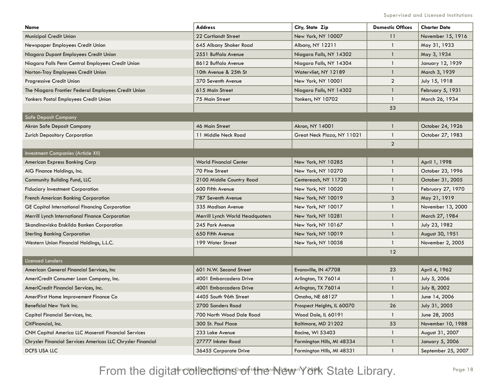| Name                                                        | <b>Address</b>                  | City, State Zip            | <b>Domestic Offices</b> | <b>Charter Date</b> |
|-------------------------------------------------------------|---------------------------------|----------------------------|-------------------------|---------------------|
| <b>Municipal Credit Union</b>                               | 22 Cortlandt Street             | New York, NY 10007         | 11                      | November 15, 1916   |
| Newspaper Employees Credit Union                            | 645 Albany Shaker Road          | Albany, NY 12211           | $\mathbf{1}$            | May 31, 1933        |
| Niagara Dupont Employees Credit Union                       | 2551 Buffalo Avenue             | Niagara Falls, NY 14302    | 1                       | May 3, 1934         |
| Niagara Falls Penn Central Employees Credit Union           | 8612 Buffalo Avenue             | Niagara Falls, NY 14304    | $\mathbf{1}$            | January 12, 1939    |
| Norton-Troy Employees Credit Union                          | 10th Avenue & 25th St           | Watervliet, NY 12189       | $\mathbf{1}$            | March 3, 1939       |
| <b>Progressive Credit Union</b>                             | 370 Seventh Avenue              | New York, NY 10001         | $\overline{2}$          | July 15, 1918       |
| The Niagara Frontier Federal Employees Credit Union         | 615 Main Street                 | Niagara Falls, NY 14302    | $\mathbf{1}$            | February 5, 1931    |
| Yonkers Postal Employees Credit Union                       | 75 Main Street                  | Yonkers, NY 10702          | $\mathbf{1}$            | March 26, 1934      |
|                                                             |                                 |                            | 53                      |                     |
| Safe Deposit Company                                        |                                 |                            |                         |                     |
| <b>Akron Safe Deposit Company</b>                           | 46 Main Street                  | Akron, NY 14001            | 1                       | October 24, 1926    |
| Zurich Depository Corporation                               | 11 Middle Neck Road             | Great Neck Plaza, NY 11021 | $\mathbf{1}$            | October 27, 1983    |
|                                                             |                                 |                            | $\overline{2}$          |                     |
| Investment Companies (Article XII)                          |                                 |                            |                         |                     |
| <b>American Express Banking Corp</b>                        | <b>World Financial Center</b>   | New York, NY 10285         | 1                       | April 1, 1998       |
| AIG Finance Holdings, Inc.                                  | 70 Pine Street                  | New York, NY 10270         | -1                      | October 23, 1996    |
| Community Building Fund, LLC                                | 2100 Middle Country Road        | Centereach, NY 11720       | $\mathbf{1}$            | October 31, 2005    |
| <b>Fiduciary Investment Corporation</b>                     | 600 Fifth Avenue                | New York, NY 10020         | $\mathbf{1}$            | February 27, 1970   |
| French American Banking Corporation                         | 787 Seventh Avenue              | New York, NY 10019         | 3                       | May 21, 1919        |
| <b>GE Capital International Financing Corporation</b>       | 335 Madison Avenue              | New York, NY 10017         | $\mathbf{1}$            | November 13, 2000   |
| Merrill Lynch International Finance Corporation             | Merrill Lynch World Headquaters | New York, NY 10281         | $\mathbf{1}$            | March 27, 1984      |
| Skandinaviska Enskilda Banken Corporation                   | 245 Park Avenue                 | New York, NY 10167         | $\mathbf{1}$            | July 23, 1982       |
| <b>Sterling Banking Corporation</b>                         | 650 Fifth Avenue                | New York, NY 10019         | $\mathbf{1}$            | August 30, 1951     |
| Western Union Financial Holdings, L.L.C.                    | 199 Water Street                | New York, NY 10038         | $\mathbf{1}$            | November 2, 2005    |
|                                                             |                                 |                            | 12                      |                     |
| Licensed Lenders                                            |                                 |                            |                         |                     |
| American General Financial Services, Inc.                   | 601 N.W. Second Street          | Evansville, IN 47708       | 23                      | April 4, 1962       |
| AmeriCredit Consumer Loan Company, Inc.                     | 4001 Embarcadero Drive          | Arlington, TX 76014        | $\mathbf{1}$            | July 5, 2006        |
| AmeriCredit Financial Services, Inc.                        | 4001 Embarcadero Drive          | Arlington, TX 76014        | $\mathbf{1}$            | July 8, 2002        |
| AmeriFirst Home Improvement Finance Co                      | 4405 South 96th Street          | Omaha, NE 68127            | $\mathbf{1}$            | June 14, 2006       |
| Beneficial New York Inc.                                    | 2700 Sanders Road               | Prospect Heights, IL 60070 | 26                      | July 31, 2005       |
| Capital Financial Services, Inc.                            | 700 North Wood Dale Road        | Wood Dale, IL 60191        |                         | June 28, 2005       |
| CitiFinancial, Inc.                                         | 300 St. Paul Place              | Baltimore, MD 21202        | 53                      | November 10, 1988   |
| CNH Capital America LLC Maserati Financial Services         | 233 Lake Avenue                 | Racine, WI 53403           | -1                      | August 31, 2007     |
| Chrysler Financial Services Americas LLC Chrysler Financial | 27777 Inkster Road              | Farmington Hills, MI 48334 | $\mathbf{1}$            | January 5, 2006     |
| DCFS USA LLC                                                | 36455 Corporate Drive           | Farmington Hills, MI 48331 | $\mathbf{1}$            | September 25, 2007  |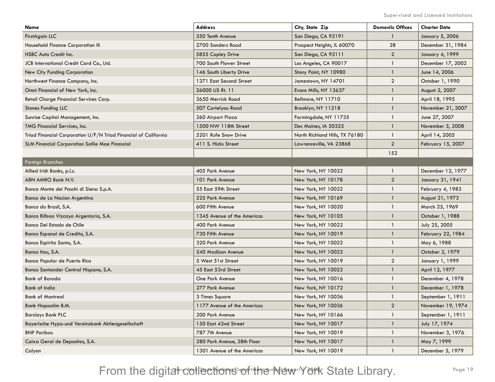| Name                                                            | <b>Address</b>              | City, State Zip                | <b>Domestic Offices</b> | <b>Charter Date</b> |
|-----------------------------------------------------------------|-----------------------------|--------------------------------|-------------------------|---------------------|
| FirstAgain LLC                                                  | 350 Tenth Avenue            | San Diego, CA 92191            | -1                      | January 5, 2006     |
| Household Finance Corporation III                               | 2700 Sanders Road           | Prospect Heights, IL 60070     | 28                      | December 31, 1984   |
| <b>HSBC Auto Credit Inc.</b>                                    | 5855 Copley Drive           | San Diego, CA 92111            | $\overline{2}$          | January 4, 1999     |
| JCB International Credit Card Co., Ltd.                         | 700 South Flower Street     | Los Angeles, CA 90017          | $\mathbf{1}$            | December 17, 2002   |
| New City Funding Corporation                                    | 146 South Liberty Drive     | Stony Point, NY 10980          | $\mathbf{1}$            | June 14, 2006       |
| Northwest Finance Company, Inc.                                 | 1371 East Second Street     | Jamestown, NY 14701            | $\overline{2}$          | October 1, 1990     |
| Omni Financial of New York, Inc.                                | 26000 US Rt. 11             | Evans Mills, NY 13637          | 1                       | August 2, 2007      |
| Retail Charge Financial Services Corp.                          | 2650 Merrick Road           | Bellmore, NY 11710             | $\mathbf{1}$            | April 18, 1995      |
| <b>Stones Funding LLC</b>                                       | 507 Cortelyou Road          | Brooklyn, NY 11218             | $\mathbf{1}$            | November 21, 2007   |
| Sunrise Capital Management, Inc.                                | 260 Airport Plaza           | Farmingdale, NY 11735          | $\mathbf{1}$            | June 27, 2007       |
| TMG Financial Services, Inc.                                    | 1500 NW 118th Street        | Des Moines, IA 50325           | $\mathbf{1}$            | November 5, 2008    |
| Triad Financial Corporation U/F/N Triad Financial of California | 5201 Rufe Snow Drive        | North Richland Hills, TX 76180 | $\mathbf{1}$            | April 14, 2005      |
| <b>SLM Financial Corporation Sallie Mae Financial</b>           | 411 S. Hicks Street         | Lawrenceville, VA 23868        | $\overline{2}$          | February 15, 2007   |
|                                                                 |                             |                                | 152                     |                     |
| <b>Foreign Branches</b>                                         |                             |                                |                         |                     |
| Allied Irish Banks, p.l.c.                                      | 405 Park Avenue             | New York, NY 10022             |                         | December 12, 1977   |
| ABN AMRO Bank N.V.                                              | 101 Park Avenue             | New York, NY 10178             | $\overline{2}$          | January 31, 1941    |
| Banca Monte dei Paschi di Siena S.p.A.                          | 55 East 59th Street         | New York, NY 10022             | -1                      | February 4, 1983    |
| Banco de La Nacion Argentina                                    | 225 Park Avenue             | New York, NY 10169             | $\mathbf{1}$            | August 21, 1973     |
| Banco do Brasil, S.A.                                           | 600 Fifth Avenue            | New York, NY 10020             | $\mathbf{1}$            | March 25, 1969      |
| Banco Bilbao Vizcaya Argentaria, S.A.                           | 1345 Avenue of the Americas | New York, NY 10105             | $\mathbf{1}$            | October 1, 1988     |
| Banco Del Estado de Chile                                       | 400 Park Avenue             | New York, NY 10022             | $\mathbf{1}$            | July 25, 2005       |
| Banco Espanol de Credito, S.A.                                  | 730 Fifth Avenue            | New York, NY 10019             | $\mathbf{1}$            | February 22, 1984   |
| Banco Espirito Santo, S.A.                                      | 320 Park Avenue             | New York, NY 10022             | $\mathbf{1}$            | May 6, 1988         |
| Banco Itau, S.A.                                                | 540 Madison Avenue          | New York, NY 10022             | $\mathbf{1}$            | October 2, 1979     |
| Banco Popular de Puerto Rico                                    | 5 West 51st Street          | New York, NY 10019             | $\overline{2}$          | January 1, 1999     |
| Banco Santander Central Hispano, S.A.                           | 45 East 53rd Street         | New York, NY 10022             | $\mathbf{1}$            | April 12, 1977      |
| <b>Bank of Baroda</b>                                           | One Park Avenue             | New York, NY 10016             | $\mathbf{1}$            | December 4, 1978    |
| Bank of India                                                   | 277 Park Avenue             | New York, NY 10172             | 1                       | December 1, 1978    |
| <b>Bank of Montreal</b>                                         | 3 Times Square              | New York, NY 10036             | $\mathbf{1}$            | September 1, 1911   |
| Bank Hapoalim B.M.                                              | 1177 Avenue of the Americas | New York, NY 10036             | $\overline{2}$          | November 19, 1974   |
| <b>Barclays Bank PLC</b>                                        | 200 Park Avenue             | New York, NY 10166             | -1                      | September 1, 1911   |
| Bayerische Hypo-und Vereinsbank Aktiengesellschaft              | 150 East 42nd Street        | New York, NY 10017             | -1                      | July 17, 1974       |
| <b>BNP Paribas</b>                                              | 787 7th Avenue              | New York, NY 10019             | $\mathbf{1}$            | November 3, 1976    |
| Caixa Geral de Depositos, S.A.                                  | 280 Park Avenue, 28th Floor | New York, NY 10017             | $\mathbf{1}$            | May 7, 1999         |
| Calyon                                                          | 1301 Avenue of the Americas | New York, NY 10019             | $\mathbf{1}$            | December 5, 1979    |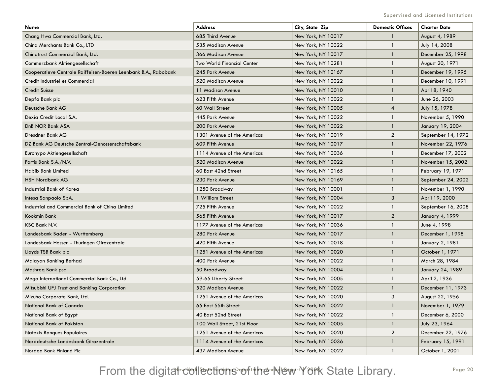| Name                                                            | <b>Address</b>              | City, State Zip    | <b>Domestic Offices</b> | <b>Charter Date</b> |
|-----------------------------------------------------------------|-----------------------------|--------------------|-------------------------|---------------------|
| Chang Hwa Commercial Bank, Ltd.                                 | 685 Third Avenue            | New York, NY 10017 |                         | August 4, 1989      |
| China Merchants Bank Co., LTD                                   | 535 Madison Avenue          | New York, NY 10022 | $\mathbf{1}$            | July 14, 2008       |
| Chinatrust Commercial Bank, Ltd.                                | 366 Madison Avenue          | New York, NY 10017 | 1                       | December 25, 1998   |
| Commerzbank Aktiengesellschaft                                  | Two World Financial Center  | New York, NY 10281 | $\mathbf{1}$            | August 20, 1971     |
| Cooperatieve Centrale Raiffeisen-Boeren Leenbank B.A., Rabobank | 245 Park Avenue             | New York, NY 10167 | 1                       | December 19, 1995   |
| Credit Industriel et Commercial                                 | 520 Madison Avenue          | New York, NY 10022 | $\mathbf{1}$            | December 10, 1991   |
| <b>Credit Suisse</b>                                            | 11 Madison Avenue           | New York, NY 10010 | $\mathbf{1}$            | April 8, 1940       |
| Depfa Bank plc                                                  | 623 Fifth Avenue            | New York, NY 10022 | $\mathbf{1}$            | June 26, 2003       |
| Deutsche Bank AG                                                | 60 Wall Street              | New York, NY 10005 | $\overline{A}$          | July 15, 1978       |
| Dexia Credit Local S.A.                                         | 445 Park Avenue             | New York, NY 10022 | $\mathbf{1}$            | November 5, 1990    |
| DnB NOR Bank ASA                                                | 200 Park Avenue             | New York, NY 10022 | 1                       | January 19, 2004    |
| Dresdner Bank AG                                                | 1301 Avenue of the Americas | New York, NY 10019 | $\overline{2}$          | September 14, 1972  |
| DZ Bank AG Deutsche Zentral-Genossenschaftsbank                 | 609 Fifth Avenue            | New York, NY 10017 | 1                       | November 22, 1976   |
| Eurohypo Aktiengesellschaft                                     | 1114 Avenue of the Americas | New York, NY 10036 | 1                       | December 17, 2002   |
| Fortis Bank S.A./N.V.                                           | 520 Madison Avenue          | New York, NY 10022 | $\mathbf{1}$            | November 15, 2002   |
| Habib Bank Limited                                              | 60 East 42nd Street         | New York, NY 10165 | -1                      | February 19, 1971   |
| <b>HSH Nordbank AG</b>                                          | 230 Park Avenue             | New York, NY 10169 | $\mathbf{1}$            | September 24, 2002  |
| Industrial Bank of Korea                                        | 1250 Broadway               | New York, NY 10001 | $\mathbf{1}$            | November 1, 1990    |
| Intesa Sanpaolo SpA.                                            | 1 William Street            | New York, NY 10004 | 3                       | April 19, 2000      |
| Industrial and Commercial Bank of China Limited                 | 725 Fifth Avenue            | New York, NY 10022 | $\mathbf{1}$            | September 16, 2008  |
| Kookmin Bank                                                    | 565 Fifth Avenue            | New York, NY 10017 | $\overline{2}$          | January 4, 1999     |
| KBC Bank N.V.                                                   | 1177 Avenue of the Americas | New York, NY 10036 | $\mathbf{1}$            | June 4, 1998        |
| Landesbank Baden - Wurttemberg                                  | 280 Park Avenue             | New York, NY 10017 | $\mathbf{1}$            | December 1, 1998    |
| Landesbank Hessen - Thuringen Girozentrale                      | 420 Fifth Avenue            | New York, NY 10018 | 1                       | January 2, 1981     |
| Lloyds TSB Bank plc                                             | 1251 Avenue of the Americas | New York, NY 10020 | $\mathbf{1}$            | October 1, 1971     |
| Malayan Banking Berhad                                          | 400 Park Avenue             | New York, NY 10022 | 1                       | March 28, 1984      |
| Mashreg Bank psc                                                | 50 Broadway                 | New York, NY 10004 | $\mathbf{1}$            | January 24, 1989    |
| Mega International Commercial Bank Co., Ltd                     | 59-65 Liberty Street        | New York, NY 10005 | $\mathbf{1}$            | April 2, 1936       |
| Mitsubishi UFJ Trust and Banking Corporation                    | 520 Madison Avenue          | New York, NY 10022 | -1                      | December 11, 1973   |
| Mizuho Corporate Bank, Ltd.                                     | 1251 Avenue of the Americas | New York, NY 10020 | 3                       | August 22, 1956     |
| National Bank of Canada                                         | 65 East 55th Street         | New York, NY 10022 | $\mathbf{1}$            | November 1, 1979    |
| National Bank of Egypt                                          | 40 East 52nd Street         | New York, NY 10022 |                         | December 6, 2000    |
| National Bank of Pakistan                                       | 100 Wall Street, 21st Floor | New York, NY 10005 | -1                      | July 23, 1964       |
| Natexis Banques Populaires                                      | 1251 Avenue of the Americas | New York, NY 10020 | $\overline{2}$          | December 22, 1976   |
| Norddeutsche Landesbank Girozentrale                            | 1114 Avenue of the Americas | New York, NY 10036 | $\mathbf{1}$            | February 15, 1991   |
| Nordea Bank Finland Plc                                         | 437 Madison Avenue          | New York, NY 10022 | $\mathbf{1}$            | October 1, 2001     |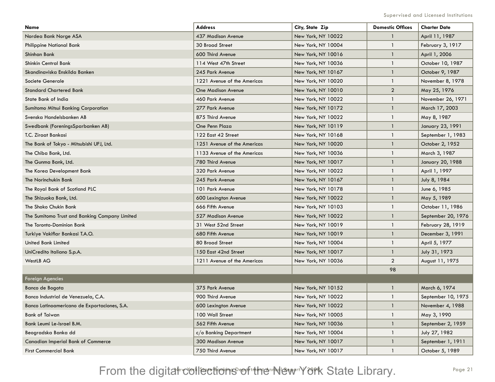| Name                                           | Address                     | City, State Zip    | <b>Domestic Offices</b> | <b>Charter Date</b> |
|------------------------------------------------|-----------------------------|--------------------|-------------------------|---------------------|
| Nordea Bank Norge ASA                          | 437 Madison Avenue          | New York, NY 10022 |                         | April 11, 1987      |
| <b>Philippine National Bank</b>                | <b>30 Broad Street</b>      | New York, NY 10004 | $\mathbf{1}$            | February 3, 1917    |
| Shinhan Bank                                   | 600 Third Avenue            | New York, NY 10016 | 1                       | April 1, 2006       |
| Shinkin Central Bank                           | 114 West 47th Street        | New York, NY 10036 | $\mathbf{1}$            | October 10, 1987    |
| Skandinaviska Enskilda Banken                  | 245 Park Avenue             | New York, NY 10167 | $\mathbf{1}$            | October 9, 1987     |
| Societe Generale                               | 1221 Avenue of the Americas | New York, NY 10020 |                         | November 8, 1978    |
| <b>Standard Chartered Bank</b>                 | <b>One Madison Avenue</b>   | New York, NY 10010 | $\overline{2}$          | May 25, 1976        |
| State Bank of India                            | 460 Park Avenue             | New York, NY 10022 | $\mathbf{1}$            | November 26, 1971   |
| Sumitomo Mitsui Banking Corporation            | 277 Park Avenue             | New York, NY 10172 | $\mathbf{1}$            | March 17, 2003      |
| Svenska Handelsbanken AB                       | 875 Third Avenue            | New York, NY 10022 | $\mathbf{1}$            | May 8, 1987         |
| Swedbank (ForeningsSparbanken AB)              | One Penn Plaza              | New York, NY 10119 | $\mathbf{1}$            | January 23, 1991    |
| T.C. Ziraat Bankasi                            | 122 East 42 Street          | New York, NY 10168 | $\mathbf{1}$            | September 1, 1983   |
| The Bank of Tokyo - Mitsubishi UFJ, Ltd.       | 1251 Avenue of the Americas | New York, NY 10020 | $\mathbf{1}$            | October 2, 1952     |
| The Chiba Bank, Ltd.                           | 1133 Avenue of the Americas | New York, NY 10036 | $\mathbf{1}$            | March 3, 1987       |
| The Gunma Bank, Ltd.                           | 780 Third Avenue            | New York, NY 10017 | $\mathbf{1}$            | January 20, 1988    |
| The Korea Development Bank                     | 320 Park Avenue             | New York, NY 10022 | $\mathbf{1}$            | April 1, 1997       |
| The Norinchukin Bank                           | 245 Park Avenue             | New York, NY 10167 | $\mathbf{1}$            | July 8, 1984        |
| The Royal Bank of Scotland PLC                 | 101 Park Avenue             | New York, NY 10178 | $\mathbf{1}$            | June 6, 1985        |
| The Shizuoka Bank, Ltd.                        | 600 Lexington Avenue        | New York, NY 10022 | $\mathbf{1}$            | May 5, 1989         |
| The Shoko Chukin Bank                          | 666 Fifth Avenue            | New York, NY 10103 | $\mathbf{1}$            | October 11, 1986    |
| The Sumitomo Trust and Banking Company Limited | 527 Madison Avenue          | New York, NY 10022 | $\mathbf{1}$            | September 20, 1976  |
| The Toronto-Dominion Bank                      | 31 West 52nd Street         | New York, NY 10019 | $\mathbf{1}$            | February 28, 1919   |
| Turkiye Vakiflar Bankasi T.A.O.                | 680 Fifth Avenue            | New York, NY 10019 | $\mathbf{1}$            | December 3, 1991    |
| United Bank Limited                            | 80 Broad Street             | New York, NY 10004 | $\mathbf{1}$            | April 5, 1977       |
| UniCredito Italiano S.p.A.                     | 150 East 42nd Street        | New York, NY 10017 | $\mathbf{1}$            | July 31, 1973       |
| WestLB AG                                      | 1211 Avenue of the Americas | New York, NY 10036 | $\overline{2}$          | August 11, 1975     |
|                                                |                             |                    | 98                      |                     |
| Foreign Agencies                               |                             |                    |                         |                     |
| Banco de Bogota                                | 375 Park Avenue             | New York, NY 10152 | $\mathbf{1}$            | March 6, 1974       |
| Banco Industrial de Venezuela, C.A.            | 900 Third Avenue            | New York, NY 10022 | $\mathbf{1}$            | September 10, 1975  |
| Banco Latinoamericano de Exportaciones, S.A.   | 600 Lexington Avenue        | New York, NY 10022 | $\mathbf{1}$            | November 4, 1988    |
| <b>Bank of Taiwan</b>                          | 100 Wall Street             | New York, NY 10005 | $\mathbf{1}$            | May 3, 1990         |
| Bank Leumi Le-Israel B.M.                      | 562 Fifth Avenue            | New York, NY 10036 | 1                       | September 2, 1959   |
| Beogradska Banka dd                            | c/o Banking Department      | New York, NY 10004 | 1                       | July 27, 1982       |
| <b>Canadian Imperial Bank of Commerce</b>      | 300 Madison Avenue          | New York, NY 10017 | $\mathbf{1}$            | September 1, 1911   |
| <b>First Commercial Bank</b>                   | 750 Third Avenue            | New York, NY 10017 | $\mathbf{1}$            | October 5, 1989     |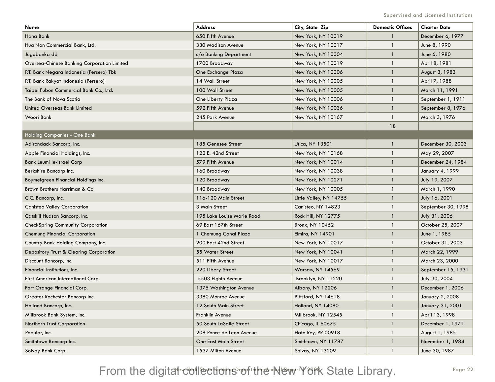| Name                                        | <b>Address</b>             | City, State Zip         | <b>Domestic Offices</b> | <b>Charter Date</b> |
|---------------------------------------------|----------------------------|-------------------------|-------------------------|---------------------|
| Hana Bank                                   | 650 Fifth Avenue           | New York, NY 10019      | 1                       | December 6, 1977    |
| Hua Nan Commercial Bank, Ltd.               | 330 Madison Avenue         | New York, NY 10017      | $\mathbf{1}$            | June 8, 1990        |
| Jugobanka dd                                | c/o Banking Department     | New York, NY 10004      | $\mathbf{1}$            | June 6, 1980        |
| Oversea-Chinese Banking Corporation Limited | 1700 Broadway              | New York, NY 10019      | $\mathbf{1}$            | April 8, 1981       |
| P.T. Bank Negara Indonesia (Persero) Tbk    | One Exchange Plaza         | New York, NY 10006      | $\mathbf{1}$            | August 3, 1983      |
| P.T. Bank Rakyat Indonesia (Persero)        | 14 Wall Street             | New York, NY 10005      | $\mathbf{1}$            | April 7, 1988       |
| Taipei Fubon Commercial Bank Co., Ltd.      | 100 Wall Street            | New York, NY 10005      | -1                      | March 11, 1991      |
| The Bank of Nova Scotia                     | One Liberty Plaza          | New York, NY 10006      | $\mathbf{1}$            | September 1, 1911   |
| <b>United Overseas Bank Limited</b>         | 592 Fifth Avenue           | New York, NY 10036      | $\mathbf{1}$            | September 8, 1976   |
| Woori Bank                                  | 245 Park Avenue            | New York, NY 10167      | $\mathbf{1}$            | March 3, 1976       |
|                                             |                            |                         | 18                      |                     |
| Holding Companies - One Bank                |                            |                         |                         |                     |
| Adirondack Bancorp, Inc.                    | 185 Genesee Street         | Utica, NY 13501         | $\mathbf{1}$            | December 30, 2003   |
| Apple Financial Holdings, Inc.              | 122 E. 42nd Street         | New York, NY 10168      | $\mathbf{1}$            | May 29, 2007        |
| <b>Bank Leumi le-Israel Corp</b>            | 579 Fifth Avenue           | New York, NY 10014      | -1                      | December 24, 1984   |
| Berkshire Bancorp Inc.                      | 160 Broadway               | New York, NY 10038      | $\mathbf{1}$            | January 4, 1999     |
| Boymelgreen Financial Holdings Inc.         | 120 Broadway               | New York, NY 10271      | -1                      | July 19, 2007       |
| Brown Brothers Harriman & Co                | 140 Broadway               | New York, NY 10005      | $\mathbf{1}$            | March 1, 1990       |
| C.C. Bancorp, Inc.                          | 116-120 Main Street        | Little Valley, NY 14755 | $\mathbf{1}$            | July 16, 2001       |
| <b>Canisteo Valley Corporation</b>          | 3 Main Street              | Canisteo, NY 14823      | $\mathbf{1}$            | September 30, 1998  |
| Catskill Hudson Bancorp, Inc.               | 195 Lake Louise Marie Road | Rock Hill, NY 12775     | $\mathbf{1}$            | July 31, 2006       |
| <b>CheckSpring Community Corporation</b>    | 69 East 167th Street       | Bronx, NY 10452         | $\mathbf{1}$            | October 25, 2007    |
| <b>Chemung Financial Corporation</b>        | 1 Chemung Canal Plaza      | Elmira, NY 14901        | $\mathbf{1}$            | June 1, 1985        |
| Country Bank Holding Company, Inc.          | 200 East 42nd Street       | New York, NY 10017      | $\mathbf{1}$            | October 31, 2003    |
| Depository Trust & Clearing Corporation     | 55 Water Street            | New York, NY 10041      | $\mathbf{1}$            | March 22, 1999      |
| Discount Bancorp, Inc.                      | 511 Fifth Avenue           | New York, NY 10017      | -1                      | March 23, 2000      |
| Financial Institutions, Inc.                | 220 Libery Street          | Warsaw, NY 14569        | $\mathbf{1}$            | September 15, 1931  |
| First American International Corp.          | 5503 Eighth Avenue         | Brooklyn, NY 11220      | $\mathbf{1}$            | July 30, 2004       |
| Fort Orange Financial Corp.                 | 1375 Washington Avenue     | Albany, NY 12206        | 1                       | December 1, 2006    |
| Greater Rochester Bancorp Inc.              | 3380 Monroe Avenue         | Pittsford, NY 14618     | $\mathbf{1}$            | January 2, 2008     |
| Holland Bancorp, Inc.                       | 12 South Main Street       | Holland, NY 14080       | 1                       | January 31, 2001    |
| Millbrook Bank System, Inc.                 | <b>Franklin Avenue</b>     | Millbrook, NY 12545     |                         | April 13, 1998      |
| Northern Trust Corporation                  | 50 South LaSalle Street    | Chicago, IL 60675       | -1                      | December 1, 1971    |
| Popular, Inc.                               | 208 Ponce de Leon Avenue   | Hato Rey, PR 00918      | $\mathbf{1}$            | August 1, 1985      |
| Smithtown Bancorp Inc.                      | One East Main Street       | Smithtown, NY 11787     | $\mathbf{1}$            | November 1, 1984    |
| Solvay Bank Corp.                           | 1537 Milton Avenue         | Solvay, NY 13209        | $\mathbf{1}$            | June 30, 1987       |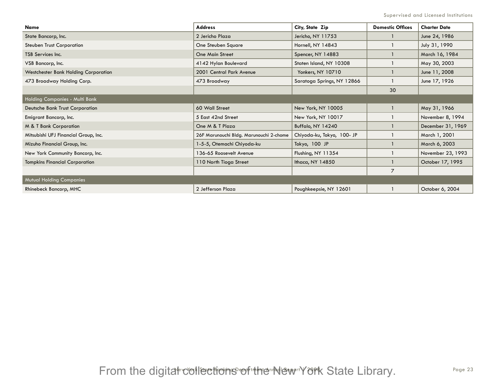| <b>Name</b>                           | <b>Address</b>                          | City, State Zip            | <b>Domestic Offices</b> | <b>Charter Date</b> |
|---------------------------------------|-----------------------------------------|----------------------------|-------------------------|---------------------|
| State Bancorp, Inc.                   | 2 Jericho Plaza                         | Jericho, NY 11753          |                         | June 24, 1986       |
| <b>Steuben Trust Corporation</b>      | One Steuben Square                      | Hornell, NY 14843          |                         | July 31, 1990       |
| TSB Services Inc.                     | <b>One Main Street</b>                  | Spencer, NY 14883          |                         | March 16, 1984      |
| VSB Bancorp, Inc.                     | 4142 Hylan Boulevard                    | Staten Island, NY 10308    |                         | May 30, 2003        |
| Westchester Bank Holding Corporation  | 2001 Central Park Avenue                | Yonkers, NY 10710          |                         | June 11, 2008       |
| 473 Broadway Holding Corp.            | 473 Broadway                            | Saratoga Springs, NY 12866 |                         | June 17, 1926       |
|                                       |                                         |                            | 30                      |                     |
| Holding Companies - Multi Bank        |                                         |                            |                         |                     |
| Deutsche Bank Trust Corporation       | 60 Wall Street                          | New York, NY 10005         |                         | May 31, 1966        |
| Emigrant Bancorp, Inc.                | 5 East 42nd Street                      | New York, NY 10017         |                         | November 8, 1994    |
| M & T Bank Corporation                | One M & T Plaza                         | Buffalo, NY 14240          |                         | December 31, 1969   |
| Mitsubishi UFJ Financial Group, Inc.  | 26F Marunouchi Bldg. Marunouchi 2-chome | Chiyoda-ku, Tokyo, 100- JP |                         | March 1, 2001       |
| Mizuho Financial Group, Inc.          | 1-5-5, Otemachi Chiyoda-ku              | Tokyo, 100 JP              |                         | March 6, 2003       |
| New York Community Bancorp, Inc.      | 136-65 Roosevelt Avenue                 | Flushing, NY 11354         |                         | November 23, 1993   |
| <b>Tompkins Financial Corporation</b> | 110 North Tioga Street                  | Ithaca, NY 14850           |                         | October 17, 1995    |
|                                       |                                         |                            | $\overline{7}$          |                     |
| <b>Mutual Holding Companies</b>       |                                         |                            |                         |                     |
| <b>Rhinebeck Bancorp, MHC</b>         | 2 Jefferson Plaza                       | Poughkeepsie, NY 12601     |                         | October 6, 2004     |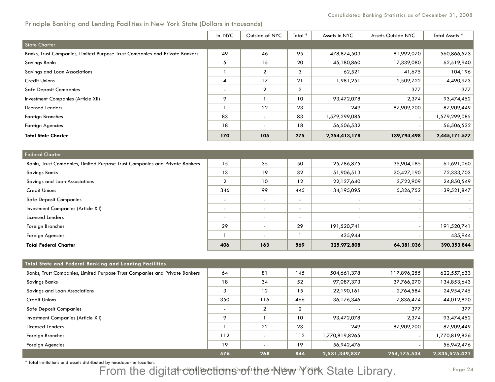## Principle Banking and Lending Facilities in New York State (Dollars in thousands)

|                                                                             | In NYC                   | Outside of NYC           | Total *        | Assets in NYC | <b>Assets Outside NYC</b> | Total Assets * |
|-----------------------------------------------------------------------------|--------------------------|--------------------------|----------------|---------------|---------------------------|----------------|
| <b>State Charter</b>                                                        |                          |                          |                |               |                           |                |
| Banks, Trust Companies, Limited Purpose Trust Companies and Private Bankers | 49                       | 46                       | 95             | 478,874,503   | 81,992,070                | 560,866,573    |
| Savings Banks                                                               | 5                        | 15                       | 20             | 45,180,860    | 17,339,080                | 62,519,940     |
| Savings and Loan Associations                                               |                          | $\mathbf{2}$             | 3              | 62,521        | 41,675                    | 104,196        |
| <b>Credit Unions</b>                                                        | 4                        | 17                       | 21             | 1,981,251     | 2,509,722                 | 4,490,973      |
| <b>Safe Deposit Companies</b>                                               | $\overline{\phantom{a}}$ | $\mathbf{2}$             | $\overline{2}$ |               | 377                       | 377            |
| Investment Companies (Article XII)                                          | 9                        |                          | 10             | 93,472,078    | 2,374                     | 93,474,452     |
| Licensed Lenders                                                            |                          | 22                       | 23             | 249           | 87,909,200                | 87,909,449     |
| Foreign Branches                                                            | 83                       |                          | 83             | 1,579,299,085 |                           | 1,579,299,085  |
| Foreign Agencies                                                            | 18                       | $\overline{\phantom{a}}$ | 18             | 56,506,532    |                           | 56,506,532     |
| <b>Total State Charter</b>                                                  | 170                      | 105                      | 275            | 2,254,413,178 | 189,794,498               | 2,445,171,577  |

| <b>Federal Charter</b>                                                      |                          |     |                          |             |            |               |
|-----------------------------------------------------------------------------|--------------------------|-----|--------------------------|-------------|------------|---------------|
| Banks, Trust Companies, Limited Purpose Trust Companies and Private Bankers | 15                       | 35  | 50                       | 25,786,875  | 35,904,185 | 000, 190, 160 |
| <b>Savings Banks</b>                                                        | 13                       | 19  | 32                       | 51,906,513  | 20,427,190 | 72,333,703    |
| Savings and Loan Associations                                               |                          | 10  | 12                       | 22,127,640  | 2,722,909  | 24,850,549    |
| <b>Credit Unions</b>                                                        | 346                      | 99  | 445                      | 34,195,095  | 5,326,752  | 39,521,847    |
| <b>Safe Deposit Companies</b>                                               |                          |     |                          |             |            |               |
| Investment Companies (Article XII)                                          |                          |     |                          |             |            |               |
| Licensed Lenders                                                            | $\overline{\phantom{a}}$ |     | $\overline{\phantom{0}}$ |             |            |               |
| Foreign Branches                                                            | 29                       |     | 29                       | 191,520,741 |            | 191,520,741   |
| Foreign Agencies                                                            |                          |     |                          | 435,944     |            | 435,944       |
| <b>Total Federal Charter</b>                                                | 406                      | 163 | 569                      | 325,972,808 | 64,381,036 | 390,353,844   |

| <b>Total State and Federal Banking and Lending Facilities</b>               |     |                |                |                |             |               |
|-----------------------------------------------------------------------------|-----|----------------|----------------|----------------|-------------|---------------|
| Banks, Trust Companies, Limited Purpose Trust Companies and Private Bankers | 64  | 81             | 145            | 504,661,378    | 117,896,255 | 622,557,633   |
| Savings Banks                                                               | 18  | 34             | 52             | 97,087,373     | 37,766,270  | 134,853,643   |
| Savings and Loan Associations                                               |     | 12             | 15             | 22,190,161     | 2,764,584   | 24,954,745    |
| <b>Credit Unions</b>                                                        | 350 | 116            | 466            | 36,176,346     | 7,836,474   | 44,012,820    |
| <b>Safe Deposit Companies</b>                                               |     | $\overline{2}$ | $\overline{2}$ |                | 377         | 377           |
| Investment Companies (Article XII)                                          |     |                | 10             | 93,472,078     | 2,374       | 93,474,452    |
| Licensed Lenders                                                            |     | 22             | 23             | 249            | 87,909,200  | 87,909,449    |
| <b>Foreign Branches</b>                                                     | 112 |                | 112            | 1,770,819,8265 |             | 770,819,826,  |
| Foreign Agencies                                                            | 19  |                | 19             | 56,942,476     |             | 56,942,476    |
|                                                                             | 576 | 268            | 844            | 2,581,349,887  | 254,175,534 | 2,835,525,421 |

\* Total institutions and assets distributed by headquarter location.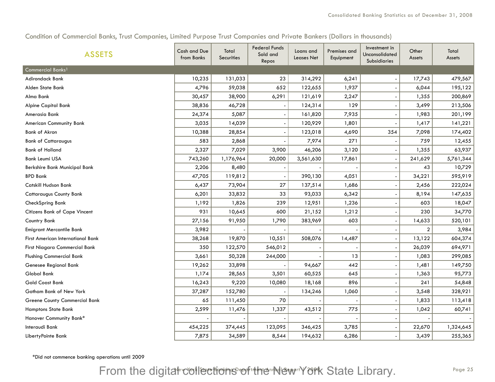| <b>ASSETS</b>                        | Cash and Due<br>from Banks | Total<br><b>Securities</b> | <b>Federal Funds</b><br>Sold and<br>Repos | Loans and<br><b>Leases Net</b> | Premises and<br>Equipment | Investment in<br>Unconsolidated<br>Subsidiaries | Other<br>Assets | Total<br>Assets |
|--------------------------------------|----------------------------|----------------------------|-------------------------------------------|--------------------------------|---------------------------|-------------------------------------------------|-----------------|-----------------|
| Commercial Banks <sup>1</sup>        |                            |                            |                                           |                                |                           |                                                 |                 |                 |
| <b>Adirondack Bank</b>               | 10,235                     | 131,033                    | 23                                        | 314,292                        | 6,241                     |                                                 | 17,743          | 479,567         |
| Alden State Bank                     | 4,796                      | 59,038                     | 652                                       | 122,655                        | 1,937                     |                                                 | 6,044           | 195,122         |
| Alma Bank                            | 30,457                     | 38,900                     | 6,291                                     | 121,619                        | 2,247                     |                                                 | 1,355           | 200,869         |
| <b>Alpine Capital Bank</b>           | 38,836                     | 46,728                     |                                           | 124,314                        | 129                       |                                                 | 3,499           | 213,506         |
| Amerasia Bank                        | 24,374                     | 5,087                      |                                           | 161,820                        | 7,935                     |                                                 | 1,983           | 201,199         |
| <b>American Community Bank</b>       | 3,035                      | 14,039                     |                                           | 120,929                        | 1,801                     |                                                 | 1,417           | 141,221         |
| <b>Bank of Akron</b>                 | 10,388                     | 28,854                     |                                           | 123,018                        | 4,690                     | 354                                             | 7,098           | 174,402         |
| <b>Bank of Cattaraugus</b>           | 583                        | 2,868                      |                                           | 7,974                          | 271                       |                                                 | 759             | 12,455          |
| <b>Bank of Holland</b>               | 2,327                      | 7,029                      | 3,900                                     | 46,206                         | 3,120                     |                                                 | 1,355           | 63,937          |
| <b>Bank Leumi USA</b>                | 743,260                    | 1,176,964                  | 20,000                                    | 3,561,630                      | 17,861                    |                                                 | 241,629         | 5,761,344       |
| Berkshire Bank Municipal Bank        | 2,206                      | 8,480                      |                                           |                                |                           |                                                 | 43              | 10,729          |
| <b>BPD Bank</b>                      | 47,705                     | 119,812                    |                                           | 390,130                        | 4,051                     |                                                 | 34,221          | 595,919         |
| Catskill Hudson Bank                 | 6,437                      | 73,904                     | 27                                        | 137,514                        | 1,686                     |                                                 | 2,456           | 222,024         |
| <b>Cattaraugus County Bank</b>       | 6,201                      | 33,832                     | 33                                        | 93,033                         | 6,342                     |                                                 | 8,194           | 147,635         |
| CheckSpring Bank                     | 1,192                      | 1,826                      | 239                                       | 12,951                         | 1,236                     |                                                 | 603             | 18,047          |
| Citizens Bank of Cape Vincent        | 931                        | 10,645                     | 600                                       | 21,152                         | 1,212                     |                                                 | 230             | 34,770          |
| Country Bank                         | 27,156                     | 91,950                     | 1,790                                     | 383,969                        | 603                       |                                                 | 14,633          | 520,101         |
| <b>Emigrant Mercantile Bank</b>      | 3,982                      |                            |                                           |                                |                           |                                                 | $\overline{2}$  | 3,984           |
| First American International Bank    | 38,268                     | 19,870                     | 10,551                                    | 508,076                        | 14,487                    |                                                 | 13,122          | 604,374         |
| <b>First Niagara Commercial Bank</b> | 350                        | 122,570                    | 546,012                                   |                                |                           |                                                 | 26,039          | 694,971         |
| <b>Flushing Commercial Bank</b>      | 3,661                      | 50,328                     | 244,000                                   |                                | 13                        |                                                 | 1,083           | 299,085         |
| Genesee Regional Bank                | 19,262                     | 33,898                     |                                           | 94,667                         | 442                       |                                                 | 1,481           | 149,750         |
| Global Bank                          | 1,174                      | 28,565                     | 3,501                                     | 60,525                         | 645                       |                                                 | 1,363           | 95,773          |
| Gold Coast Bank                      | 16,243                     | 9,220                      | 10,080                                    | 18,168                         | 896                       |                                                 | 241             | 54,848          |
| Gotham Bank of New York              | 37,287                     | 152,780                    |                                           | 134,246                        | 1,060                     |                                                 | 3,548           | 328,921         |
| <b>Greene County Commercial Bank</b> | 65                         | 111,450                    | 70                                        |                                |                           |                                                 | 1,833           | 113,418         |
| <b>Hamptons State Bank</b>           | 2,599                      | 11,476                     | 1,337                                     | 43,512                         | 775                       |                                                 | 1,042           | 60,741          |
| Hanover Community Bank*              |                            |                            |                                           |                                |                           |                                                 |                 |                 |
| Interaudi Bank                       | 454,225                    | 374,445                    | 123,095                                   | 346,425                        | 3,785                     |                                                 | 22,670          | 1,324,645       |
| LibertyPointe Bank                   | 7,875                      | 34,589                     | 8,544                                     | 194,632                        | 6,286                     |                                                 | 3,439           | 255,365         |

\*Did not commence banking operations until 2009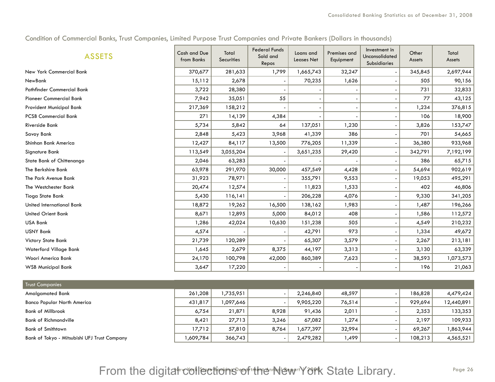| <b>ASSETS</b>                   | Cash and Due<br>from Banks | Total<br><b>Securities</b> | <b>Federal Funds</b><br>Sold and<br>Repos | Loans and<br><b>Leases Net</b> | Premises and<br>Equipment | Investment in<br>Unconsolidated<br>Subsidiaries | Other<br>Assets | Total<br>Assets |
|---------------------------------|----------------------------|----------------------------|-------------------------------------------|--------------------------------|---------------------------|-------------------------------------------------|-----------------|-----------------|
| New York Commercial Bank        | 370,677                    | 281,633                    | 1,799                                     | 1,665,743                      | 32,247                    |                                                 | 345,845         | 2,697,944       |
| NewBank                         | 15,112                     | 2,678                      |                                           | 70,235                         | 1,626                     |                                                 | 505             | 90,156          |
| Pathfinder Commercial Bank      | 3,722                      | 28,380                     |                                           |                                |                           |                                                 | 731             | 32,833          |
| Pioneer Commercial Bank         | 7,942                      | 35,051                     | 55                                        |                                |                           |                                                 | 77              | 43,125          |
| <b>Provident Municipal Bank</b> | 217,369                    | 158,212                    |                                           |                                |                           |                                                 | 1,234           | 376,815         |
| <b>PCSB Commercial Bank</b>     | 271                        | 14,139                     | 4,384                                     |                                |                           |                                                 | 106             | 18,900          |
| <b>Riverside Bank</b>           | 5,734                      | 5,842                      | 64                                        | 137,051                        | 1,230                     |                                                 | 3,826           | 153,747         |
| Savoy Bank                      | 2,848                      | 5,423                      | 3,968                                     | 41,339                         | 386                       |                                                 | 701             | 54,665          |
| Shinhan Bank America            | 12,427                     | 84,117                     | 13,500                                    | 776,205                        | 11,339                    |                                                 | 36,380          | 933,968         |
| Signature Bank                  | 113,549                    | 3,055,204                  |                                           | 3,651,235                      | 29,420                    |                                                 | 342,791         | 7,192,199       |
| State Bank of Chittenango       | 2,046                      | 63,283                     |                                           |                                |                           |                                                 | 386             | 65,715          |
| The Berkshire Bank              | 63,978                     | 291,970                    | 30,000                                    | 457,549                        | 4,428                     |                                                 | 54,694          | 902,619         |
| The Park Avenue Bank            | 31,923                     | 78,971                     |                                           | 355,791                        | 9,553                     |                                                 | 19,053          | 495,291         |
| The Westchester Bank            | 20,474                     | 12,574                     |                                           | 11,823                         | 1,533                     |                                                 | 402             | 46,806          |
| Tioga State Bank                | 5,430                      | 116,141                    |                                           | 206,228                        | 4,076                     |                                                 | 9,330           | 341,205         |
| United International Bank       | 18,872                     | 19,262                     | 16,500                                    | 138,162                        | 1,983                     |                                                 | 1,487           | 196,266         |
| <b>United Orient Bank</b>       | 8,671                      | 12,895                     | 5,000                                     | 84,012                         | 408                       |                                                 | 1,586           | 112,572         |
| <b>USA Bank</b>                 | 1,286                      | 42,024                     | 10,630                                    | 151,238                        | 505                       |                                                 | 4,549           | 210,232         |
| <b>USNY Bank</b>                | 4,574                      |                            |                                           | 42,791                         | 973                       |                                                 | 1,334           | 49,672          |
| <b>Victory State Bank</b>       | 21,739                     | 120,289                    |                                           | 65,307                         | 3,579                     |                                                 | 2,267           | 213,181         |
| <b>Waterford Village Bank</b>   | 1,645                      | 2,679                      | 8,375                                     | 44,197                         | 3,313                     |                                                 | 3,130           | 63,339          |
| Woori America Bank              | 24,170                     | 100,798                    | 42,000                                    | 860,389                        | 7,623                     |                                                 | 38,593          | 1,073,573       |
| <b>WSB Municipal Bank</b>       | 3,647                      | 17,220                     |                                           |                                |                           |                                                 | 196             | 21,063          |

| <b>Trust Companies</b>                       |           |           |       |           |        |         |            |
|----------------------------------------------|-----------|-----------|-------|-----------|--------|---------|------------|
| Amalgamated Bank                             | 261.208   | 1,735,951 |       | 2.246.840 | 48,597 | 186.828 | 4,479,424  |
| <b>Banco Popular North America</b>           | 431,817   | 1,097,646 |       | 9,905,220 | 76,514 | 929,694 | 12,440,891 |
| <b>Bank of Millbrook</b>                     | 6,754     | 21,871    | 8,928 | 91,436    | 2,011  | 2,353   | 133,353    |
| <b>Bank of Richmondville</b>                 | 8,421     | 27,713    | 3,246 | 67,082    | 1,274  | 2,197   | 109,933    |
| <b>Bank of Smithtown</b>                     | 17,712    | 57,810    | 8,764 | ,677,397  | 32,994 | 69.267  | 863,944    |
| Bank of Tokyo - Mitsubishi UFJ Trust Company | 84,609 ،ا | 366,743   |       | 2,479,282 | 1,499  | 108,213 | 4,565,521  |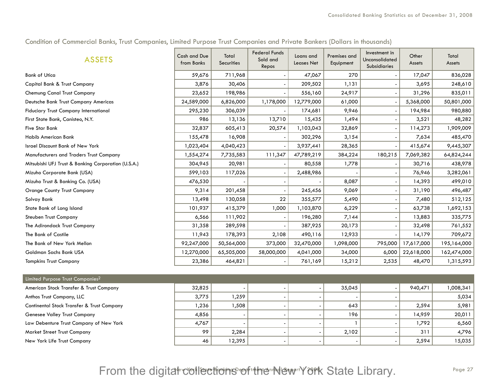| <b>ASSETS</b>                                       | <b>Cash and Due</b><br>from Banks | Total<br><b>Securities</b> | <b>Federal Funds</b><br>Sold and<br>Repos | Loans and<br><b>Leases Net</b> | Premises and<br>Equipment | Investment in<br>Unconsolidated<br><b>Subsidiaries</b> | Other<br>Assets | Total<br>Assets |
|-----------------------------------------------------|-----------------------------------|----------------------------|-------------------------------------------|--------------------------------|---------------------------|--------------------------------------------------------|-----------------|-----------------|
| <b>Bank of Utica</b>                                | 59,676                            | 711,968                    |                                           | 47,067                         | 270                       |                                                        | 17,047          | 836,028         |
| Capital Bank & Trust Company                        | 3,876                             | 30,406                     |                                           | 209,502                        | 1,131                     |                                                        | 3,695           | 248,610         |
| Chemung Canal Trust Company                         | 23,652                            | 198,986                    |                                           | 556,160                        | 24,917                    |                                                        | 31,296          | 835,011         |
| Deutsche Bank Trust Company Americas                | 24,589,000                        | 6,826,000                  | 1,178,000                                 | 12,779,000                     | 61,000                    |                                                        | 5,368,000       | 50,801,000      |
| <b>Fiduciary Trust Company International</b>        | 295,230                           | 306,039                    |                                           | 174,681                        | 9,946                     |                                                        | 194,984         | 980,880         |
| First State Bank, Canisteo, N.Y.                    | 986                               | 13,136                     | 13,710                                    | 15,435                         | 1,494                     |                                                        | 3,521           | 48,282          |
| <b>Five Star Bank</b>                               | 32,837                            | 605,413                    | 20,574                                    | 1,103,043                      | 32,869                    |                                                        | 114,273         | 1,909,009       |
| Habib American Bank                                 | 155,478                           | 16,908                     |                                           | 302,296                        | 3,154                     |                                                        | 7,634           | 485,470         |
| <b>Israel Discount Bank of New York</b>             | 1,023,404                         | 4,040,423                  |                                           | 3,937,441                      | 28,365                    |                                                        | 415,674         | 9,445,307       |
| Manufacturers and Traders Trust Company             | 1,554,274                         | 7,735,583                  | 111,347                                   | 47,789,219                     | 384,224                   | 180,215                                                | 7,069,382       | 64,824,244      |
| Mitsubishi UFJ Trust & Banking Corporation (U.S.A.) | 304,945                           | 20,981                     |                                           | 80,558                         | 1,778                     |                                                        | 30,716          | 438,978         |
| Mizuho Corporate Bank (USA)                         | 599,103                           | 117,026                    |                                           | 2,488,986                      |                           |                                                        | 76,946          | 3,282,061       |
| Mizuho Trust & Banking Co. (USA)                    | 476,530                           |                            |                                           |                                | 8,087                     |                                                        | 14,393          | 499,010         |
| <b>Orange County Trust Company</b>                  | 9,314                             | 201,458                    |                                           | 245,456                        | 9,069                     |                                                        | 31,190          | 496,487         |
| Solvay Bank                                         | 13,498                            | 130,058                    | 22                                        | 355,577                        | 5,490                     |                                                        | 7,480           | 512,125         |
| State Bank of Long Island                           | 101,937                           | 415,379                    | 1,000                                     | 1,103,870                      | 6,229                     |                                                        | 63,738          | 1,692,153       |
| Steuben Trust Company                               | 6,566                             | 111,902                    |                                           | 196,280                        | 7,144                     |                                                        | 13,883          | 335,775         |
| The Adirondack Trust Company                        | 31,358                            | 289,598                    |                                           | 387,925                        | 20,173                    |                                                        | 32,498          | 761,552         |
| The Bank of Castile                                 | 11,943                            | 178,393                    | 2,108                                     | 490,116                        | 12,933                    |                                                        | 14,179          | 709,672         |
| The Bank of New York Mellon                         | 92,247,000                        | 50,564,000                 | 373,000                                   | 32,470,000                     | 1,098,000                 | 795,000                                                | 17,617,000      | 195,164,000     |
| Goldman Sachs Bank USA                              | 12,270,000                        | 65,505,000                 | 58,000,000                                | 4,041,000                      | 34,000                    | 6,000                                                  | 22,618,000      | 162,474,000     |
| <b>Tompkins Trust Company</b>                       | 23,386                            | 464,821                    |                                           | 761,169                        | 15,212                    | 2,535                                                  | 48,470          | 1,315,593       |

| Limited Purpose Trust Companies <sup>21</sup> |        |        |  |        |         |          |
|-----------------------------------------------|--------|--------|--|--------|---------|----------|
| American Stock Transfer & Trust Company       | 32,825 |        |  | 35,045 | 940,471 | 008,341, |
| Anthos Trust Company, LLC                     | 3,775  | 1,259  |  |        |         | 5,034    |
| Continental Stock Transfer & Trust Company    | ,236   | 1,508  |  | 643    | 2,594   | 5,981    |
| <b>Genesee Valley Trust Company</b>           | 4,856  | . .    |  | 196    | 14.959  | 20,011   |
| Law Debenture Trust Company of New York       | 4,767  |        |  |        | 1,792   | 6,560    |
| <b>Market Street Trust Company</b>            | 99     | 2,284  |  | 2.102  | 311     | 4,796    |
| New York Life Trust Company                   | 46     | 12,395 |  |        | 2,594   | 15,035   |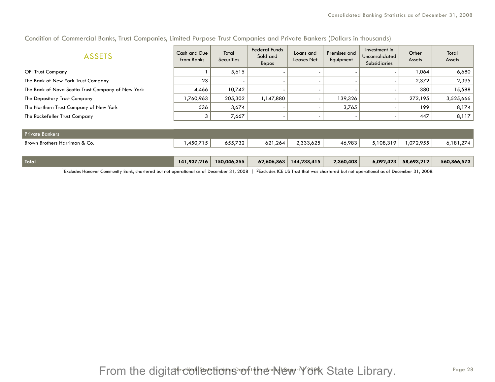| <b>ASSETS</b>                                     | Cash and Due<br>from Banks | Total<br><b>Securities</b> | <b>Federal Funds</b><br>Sold and<br>Repos | Loans and<br>Leases Net | Premises and<br>Equipment | Investment in<br>Unconsolidated<br><b>Subsidiaries</b> | Other<br>Assets | Total<br>Assets |
|---------------------------------------------------|----------------------------|----------------------------|-------------------------------------------|-------------------------|---------------------------|--------------------------------------------------------|-----------------|-----------------|
| <b>OFI Trust Company</b>                          |                            | 5,615                      |                                           |                         |                           |                                                        | 1,064           | 6,680           |
| The Bank of New York Trust Company                | 23                         |                            |                                           |                         |                           |                                                        | 2,372           | 2,395           |
| The Bank of Nova Scotia Trust Company of New York | 4,466                      | 10,742                     |                                           |                         |                           |                                                        | 380             | 15,588          |
| The Depository Trust Company                      | 1,760,963                  | 205,302                    | 1,147,880                                 |                         | 139,326                   |                                                        | 272,195         | 3,525,666       |
| The Northern Trust Company of New York            | 536                        | 3,674                      |                                           |                         | 3,765                     |                                                        | 199             | 8,174           |
| The Rockefeller Trust Company                     | 3                          | 7,667                      |                                           |                         |                           |                                                        | 447             | 8,117           |
|                                                   |                            |                            |                                           |                         |                           |                                                        |                 |                 |
| Private Bankers                                   |                            |                            |                                           |                         |                           |                                                        |                 |                 |
| Brown Brothers Harriman & Co.                     | 1,450,715                  | 655,732                    | 621,264                                   | 2,333,625               | 46,983                    | 5,108,319                                              | 1,072,955       | 6,181,274       |
|                                                   |                            |                            |                                           |                         |                           |                                                        |                 |                 |
| <b>Total</b>                                      | 141,937,216                | 150,046,355                | 62,606,863                                | 144,238,415             | 2,360,408                 | 6,092,423                                              | 58,693,212      | 560,866,573     |

<sup>1</sup>Excludes Hanover Community Bank, chartered but not operational as of December 31, 2008 | <sup>2</sup>Excludes ICE US Trust that was chartered but not operational as of December 31, 2008.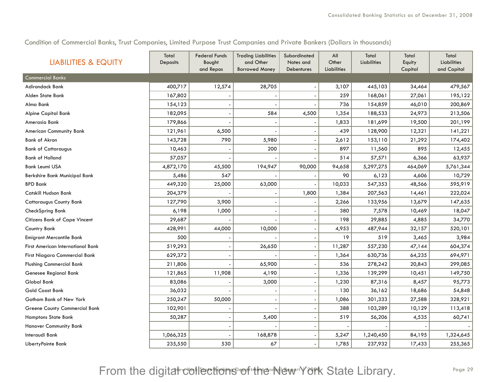| <b>LIABILITIES &amp; EQUITY</b>          | Total<br>Deposits | <b>Federal Funds</b><br>Bought<br>and Repos | <b>Trading Liabilities</b><br>and Other<br><b>Borrowed Money</b> | Subordinated<br>Notes and<br>Debentures | All<br>Other<br>Liabilities | Total<br>Liabilities | Total<br>Equity<br>Capital | Total<br><b>Liabilities</b><br>and Capital |
|------------------------------------------|-------------------|---------------------------------------------|------------------------------------------------------------------|-----------------------------------------|-----------------------------|----------------------|----------------------------|--------------------------------------------|
| <b>Commercial Banks</b>                  |                   |                                             |                                                                  |                                         |                             |                      |                            |                                            |
| <b>Adirondack Bank</b>                   | 400,717           | 12,574                                      | 28,705                                                           |                                         | 3,107                       | 445,103              | 34,464                     | 479,567                                    |
| Alden State Bank                         | 167,802           |                                             |                                                                  |                                         | 259                         | 168,061              | 27,061                     | 195,122                                    |
| Alma Bank                                | 154,123           |                                             |                                                                  |                                         | 736                         | 154,859              | 46,010                     | 200,869                                    |
| <b>Alpine Capital Bank</b>               | 182,095           |                                             | 584                                                              | 4,500                                   | 1,354                       | 188,533              | 24,973                     | 213,506                                    |
| Amerasia Bank                            | 179,866           |                                             |                                                                  |                                         | 1,833                       | 181,699              | 19,500                     | 201,199                                    |
| American Community Bank                  | 121,961           | 6,500                                       |                                                                  |                                         | 439                         | 128,900              | 12,321                     | 141,221                                    |
| <b>Bank of Akron</b>                     | 143,728           | 790                                         | 5,980                                                            |                                         | 2,612                       | 153,110              | 21,292                     | 174,402                                    |
| <b>Bank of Cattaraugus</b>               | 10,463            |                                             | 200                                                              |                                         | 897                         | 11,560               | 895                        | 12,455                                     |
| <b>Bank of Holland</b>                   | 57,057            |                                             |                                                                  |                                         | 514                         | 57,571               | 6,366                      | 63,937                                     |
| <b>Bank Leumi USA</b>                    | 4,872,170         | 45,500                                      | 194,947                                                          | 90,000                                  | 94,658                      | 5,297,275            | 464,069                    | 5,761,344                                  |
| Berkshire Bank Municipal Bank            | 5,486             | 547                                         |                                                                  |                                         | 90                          | 6,123                | 4,606                      | 10,729                                     |
| <b>BPD Bank</b>                          | 449,320           | 25,000                                      | 63,000                                                           |                                         | 10,033                      | 547,353              | 48,566                     | 595,919                                    |
| Catskill Hudson Bank                     | 204,379           |                                             |                                                                  | 1,800                                   | 1,384                       | 207,563              | 14,461                     | 222,024                                    |
| <b>Cattaraugus County Bank</b>           | 127,790           | 3,900                                       |                                                                  |                                         | 2,266                       | 133,956              | 13,679                     | 147,635                                    |
| CheckSpring Bank                         | 6,198             | 1,000                                       |                                                                  |                                         | 380                         | 7,578                | 10,469                     | 18,047                                     |
| <b>Citizens Bank of Cape Vincent</b>     | 29,687            |                                             |                                                                  |                                         | 198                         | 29,885               | 4,885                      | 34,770                                     |
| Country Bank                             | 428,991           | 44,000                                      | 10,000                                                           | $\blacksquare$                          | 4,953                       | 487,944              | 32,157                     | 520,101                                    |
| <b>Emigrant Mercantile Bank</b>          | 500               |                                             |                                                                  |                                         | 19                          | 519                  | 3,465                      | 3,984                                      |
| <b>First American International Bank</b> | 519,293           |                                             | 26,650                                                           | $\blacksquare$                          | 11,287                      | 557,230              | 47,144                     | 604,374                                    |
| First Niagara Commercial Bank            | 629,372           |                                             |                                                                  |                                         | 1,364                       | 630,736              | 64,235                     | 694,971                                    |
| <b>Flushing Commercial Bank</b>          | 211,806           |                                             | 65,900                                                           | $\overline{\phantom{a}}$                | 536                         | 278,242              | 20,843                     | 299,085                                    |
| Genesee Regional Bank                    | 121,865           | 11,908                                      | 4,190                                                            |                                         | 1,336                       | 139,299              | 10,451                     | 149,750                                    |
| <b>Global Bank</b>                       | 83,086            |                                             | 3,000                                                            | $\overline{\phantom{a}}$                | 1,230                       | 87,316               | 8,457                      | 95,773                                     |
| Gold Coast Bank                          | 36,032            |                                             |                                                                  |                                         | 130                         | 36,162               | 18,686                     | 54,848                                     |
| Gotham Bank of New York                  | 250,247           | 50,000                                      |                                                                  |                                         | 1,086                       | 301,333              | 27,588                     | 328,921                                    |
| <b>Greene County Commercial Bank</b>     | 102,901           |                                             |                                                                  |                                         | 388                         | 103,289              | 10,129                     | 113,418                                    |
| <b>Hamptons State Bank</b>               | 50,287            |                                             | 5,400                                                            |                                         | 519                         | 56,206               | 4,535                      | 60,741                                     |
| Hanover Community Bank                   |                   |                                             |                                                                  |                                         |                             |                      |                            |                                            |
| Interaudi Bank                           | 1,066,325         |                                             | 168,878                                                          |                                         | 5,247                       | 1,240,450            | 84,195                     | 1,324,645                                  |
| LibertyPointe Bank                       | 235,550           | 530                                         | 67                                                               |                                         | 1,785                       | 237,932              | 17,433                     | 255,365                                    |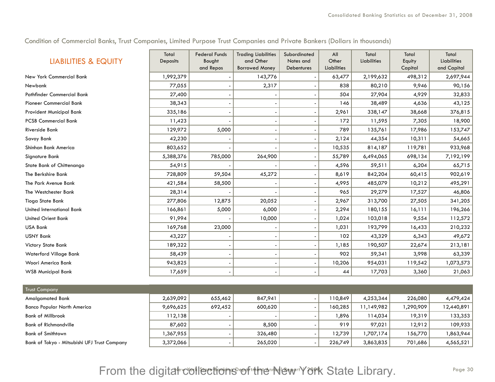| <b>LIABILITIES &amp; EQUITY</b> | Total<br>Deposits | <b>Federal Funds</b><br>Bought<br>and Repos | <b>Trading Liabilities</b><br>and Other<br><b>Borrowed Money</b> | Subordinated<br>Notes and<br>Debentures | All<br>Other<br>Liabilities | Total<br><b>Liabilities</b> | Total<br>Equity<br>Capital | Total<br><b>Liabilities</b><br>and Capital |
|---------------------------------|-------------------|---------------------------------------------|------------------------------------------------------------------|-----------------------------------------|-----------------------------|-----------------------------|----------------------------|--------------------------------------------|
| New York Commercial Bank        | 1,992,379         |                                             | 143,776                                                          |                                         | 63,477                      | 2,199,632                   | 498,312                    | 2,697,944                                  |
| Newbank                         | 77,055            |                                             | 2,317                                                            |                                         | 838                         | 80,210                      | 9,946                      | 90,156                                     |
| Pathfinder Commercial Bank      | 27,400            |                                             |                                                                  |                                         | 504                         | 27,904                      | 4,929                      | 32,833                                     |
| Pioneer Commercial Bank         | 38,343            |                                             |                                                                  |                                         | 146                         | 38,489                      | 4,636                      | 43,125                                     |
| Provident Municipal Bank        | 335,186           |                                             |                                                                  |                                         | 2,961                       | 338,147                     | 38,668                     | 376,815                                    |
| <b>PCSB Commercial Bank</b>     | 11,423            |                                             |                                                                  |                                         | 172                         | 11,595                      | 7,305                      | 18,900                                     |
| <b>Riverside Bank</b>           | 129,972           | 5,000                                       |                                                                  |                                         | 789                         | 135,761                     | 17,986                     | 153,747                                    |
| Savoy Bank                      | 42,230            |                                             |                                                                  |                                         | 2,124                       | 44,354                      | 10,311                     | 54,665                                     |
| Shinhan Bank America            | 803,652           |                                             |                                                                  |                                         | 10,535                      | 814,187                     | 119,781                    | 933,968                                    |
| Signature Bank                  | 5,388,376         | 785,000                                     | 264,900                                                          |                                         | 55,789                      | 6,494,065                   | 698,134                    | 7,192,199                                  |
| State Bank of Chittenango       | 54,915            |                                             |                                                                  |                                         | 4,596                       | 59,511                      | 6,204                      | 65,715                                     |
| The Berkshire Bank              | 728,809           | 59,504                                      | 45,272                                                           |                                         | 8,619                       | 842,204                     | 60,415                     | 902,619                                    |
| The Park Avenue Bank            | 421,584           | 58,500                                      |                                                                  |                                         | 4,995                       | 485,079                     | 10,212                     | 495,291                                    |
| The Westchester Bank            | 28,314            |                                             |                                                                  |                                         | 965                         | 29,279                      | 17,527                     | 46,806                                     |
| Tioga State Bank                | 277,806           | 12,875                                      | 20,052                                                           |                                         | 2,967                       | 313,700                     | 27,505                     | 341,205                                    |
| United International Bank       | 166,861           | 5,000                                       | 6,000                                                            |                                         | 2,294                       | 180,155                     | 16,111                     | 196,266                                    |
| <b>United Orient Bank</b>       | 91,994            |                                             | 10,000                                                           |                                         | 1,024                       | 103,018                     | 9,554                      | 112,572                                    |
| <b>USA Bank</b>                 | 169,768           | 23,000                                      |                                                                  |                                         | 1,031                       | 193,799                     | 16,433                     | 210,232                                    |
| <b>USNY Bank</b>                | 43,227            |                                             |                                                                  |                                         | 102                         | 43,329                      | 6,343                      | 49,672                                     |
| <b>Victory State Bank</b>       | 189,322           |                                             |                                                                  |                                         | 1,185                       | 190,507                     | 22,674                     | 213,181                                    |
| <b>Waterford Village Bank</b>   | 58,439            |                                             |                                                                  |                                         | 902                         | 59,341                      | 3,998                      | 63,339                                     |
| Woori America Bank              | 943,825           |                                             |                                                                  |                                         | 10,206                      | 954,031                     | 119,542                    | 1,073,573                                  |
| <b>WSB Municipal Bank</b>       | 17,659            |                                             |                                                                  |                                         | 44                          | 17,703                      | 3,360                      | 21,063                                     |
| $T_{\text{model}}$              |                   |                                             |                                                                  |                                         |                             |                             |                            |                                            |

| <b>Trust Company</b>                         |           |         |         |         |            |                       |            |
|----------------------------------------------|-----------|---------|---------|---------|------------|-----------------------|------------|
| Amalgamated Bank                             | 2,639,092 | 655,462 | 847,941 | 110.849 | 4,253,344  | 226,080               | 4,479,424  |
| <b>Banco Popular North America</b>           | 9,696,625 | 692,452 | 600,620 | 160,285 | 11,149,982 | ,290,909              | 12,440,891 |
| <b>Bank of Millbrook</b>                     | 112, 138  |         |         | .896    | 114,034    | 19.319                | 133,353    |
| <b>Bank of Richmondville</b>                 | 87,602    |         | 8,500   | 919     | 97,021     | $12,912$ <sub>1</sub> | 109,933    |
| <b>Bank of Smithtown</b>                     | ,367,955  |         | 326,480 | 12,739  | 1,707,174  | 156,770               | 863,944,   |
| Bank of Tokyo - Mitsubishi UFJ Trust Company | 3,372,066 |         | 265,020 | 226,749 | 3,863,835  | 701,686               | 4,565,521  |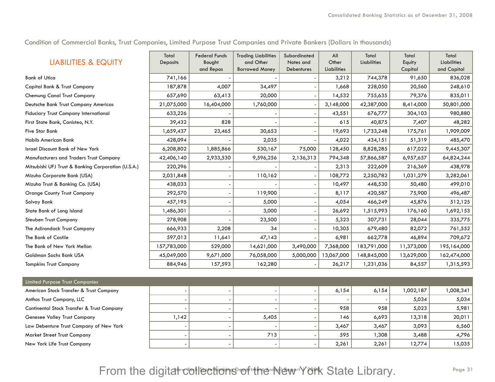| <b>LIABILITIES &amp; EQUITY</b>                     | Total<br><b>Deposits</b> | <b>Federal Funds</b><br>Bought<br>and Repos | <b>Trading Liabilities</b><br>and Other<br><b>Borrowed Money</b> | Subordinated<br>Notes and<br>Debentures | All<br>Other<br><b>Liabilities</b> | Total<br><b>Liabilities</b> | Total<br>Equity<br>Capital | Total<br><b>Liabilities</b><br>and Capital |
|-----------------------------------------------------|--------------------------|---------------------------------------------|------------------------------------------------------------------|-----------------------------------------|------------------------------------|-----------------------------|----------------------------|--------------------------------------------|
| <b>Bank of Utica</b>                                | 741,166                  |                                             |                                                                  |                                         | 3,212                              | 744,378                     | 91,650                     | 836,028                                    |
| Capital Bank & Trust Company                        | 187,878                  | 4,007                                       | 34,497                                                           |                                         | 1,668                              | 228,050                     | 20,560                     | 248,610                                    |
| <b>Chemung Canal Trust Company</b>                  | 657,690                  | 63,413                                      | 20,000                                                           |                                         | 14,532                             | 755,635                     | 79,376                     | 835,011                                    |
| Deutsche Bank Trust Company Americas                | 21,075,000               | 16,404,000                                  | 1,760,000                                                        |                                         | 3,148,000                          | 42,387,000                  | 8,414,000                  | 50,801,000                                 |
| <b>Fiduciary Trust Company International</b>        | 633,226                  |                                             |                                                                  |                                         | 43,551                             | 676,777                     | 304,103                    | 980,880                                    |
| First State Bank, Canisteo, N.Y.                    | 39,432                   | 828                                         |                                                                  |                                         | 615                                | 40,875                      | 7,407                      | 48,282                                     |
| <b>Five Star Bank</b>                               | 1,659,437                | 23,465                                      | 30,653                                                           |                                         | 19,693                             | 1,733,248                   | 175,761                    | 1,909,009                                  |
| Habib American Bank                                 | 428,094                  |                                             | 2,035                                                            |                                         | 4,022                              | 434,151                     | 51,319                     | 485,470                                    |
| <b>Israel Discount Bank of New York</b>             | 6,208,802                | 1,885,866                                   | 530,167                                                          | 75,000                                  | 128,450                            | 8,828,285                   | 617,022                    | 9,445,307                                  |
| Manufacturers and Traders Trust Company             | 42,406,140               | 2,933,530                                   | 9,596,256                                                        | 2,136,313                               | 794,348                            | 57,866,587                  | 6,957,657                  | 64,824,244                                 |
| Mitsubishi UFJ Trust & Banking Corporation (U.S.A.) | 220,296                  |                                             |                                                                  |                                         | 2,313                              | 222,609                     | 216,369                    | 438,978                                    |
| Mizuho Corporate Bank (USA)                         | 2,031,848                |                                             | 110,162                                                          |                                         | 108,772                            | 2,250,782                   | 1,031,279                  | 3,282,061                                  |
| Mizuho Trust & Banking Co. (USA)                    | 438,033                  |                                             |                                                                  |                                         | 10,497                             | 448,530                     | 50,480                     | 499,010                                    |
| <b>Orange County Trust Company</b>                  | 292,570                  |                                             | 119,900                                                          |                                         | 8,117                              | 420,587                     | 75,900                     | 496,487                                    |
| Solvay Bank                                         | 457,195                  |                                             | 5,000                                                            |                                         | 4,054                              | 466,249                     | 45,876                     | 512,125                                    |
| State Bank of Long Island                           | 1,486,301                |                                             | 3,000                                                            |                                         | 26,692                             | 1,515,993                   | 176,160                    | 1,692,153                                  |
| <b>Steuben Trust Company</b>                        | 278,908                  |                                             | 23,500                                                           |                                         | 5,323                              | 307,731                     | 28,044                     | 335,775                                    |
| The Adirondack Trust Company                        | 666,933                  | 2,208                                       | 34                                                               |                                         | 10,305                             | 679,480                     | 82,072                     | 761,552                                    |
| The Bank of Castile                                 | 597,013                  | 11,641                                      | 47,143                                                           |                                         | 6,981                              | 662,778                     | 46,894                     | 709,672                                    |
| The Bank of New York Mellon                         | 157,783,000              | 529,000                                     | 14,621,000                                                       | 3,490,000                               | 7,368,000                          | 183,791,000                 | 11,373,000                 | 195,164,000                                |
| Goldman Sachs Bank USA                              | 45,049,000               | 9,671,000                                   | 76,058,000                                                       | 5,000,000                               | 13,067,000                         | 148,845,000                 | 13,629,000                 | 162,474,000                                |
| <b>Tompkins Trust Company</b>                       | 884,946                  | 157,593                                     | 162,280                                                          |                                         | 26,217                             | 1,231,036                   | 84,557                     | 1,315,593                                  |

| Limited Purpose Trust Companies            |      |       |       |       |          |           |
|--------------------------------------------|------|-------|-------|-------|----------|-----------|
| American Stock Transfer & Trust Company    |      |       | 6,154 | 6,154 | ,002,187 | 1,008,341 |
| Anthos Trust Company, LLC                  |      |       |       |       | 5,034    | 5,034     |
| Continental Stock Transfer & Trust Company |      |       | 958   | 958   | 5,023    | 5,981     |
| Genesee Valley Trust Company               | ,142 | 5,405 | 146   | 6,693 | 13,318   | 20,011    |
| Law Debenture Trust Company of New York    |      |       | 3,467 | 3,467 | 3,093    | 6,560     |
| <b>Market Street Trust Company</b>         |      | 713   | 595   | ,308  | 3,488    | 4,796     |
| New York Life Trust Company                |      |       | 2,261 | 2,261 | 12,774   | 15,035    |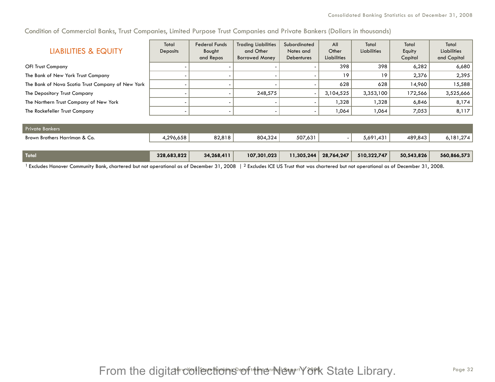| <b>LIABILITIES &amp; EQUITY</b>                   | Total<br><b>Deposits</b> | <b>Federal Funds</b><br>Bought<br>and Repos | <b>Trading Liabilities</b><br>and Other<br><b>Borrowed Money</b> | Subordinated<br>Notes and<br><b>Debentures</b> | All<br>Other<br>Liabilities | Total<br><b>Liabilities</b> | Total<br>Equity<br>Capital | Total<br><b>Liabilities</b><br>and Capital |
|---------------------------------------------------|--------------------------|---------------------------------------------|------------------------------------------------------------------|------------------------------------------------|-----------------------------|-----------------------------|----------------------------|--------------------------------------------|
| <b>OFI Trust Company</b>                          |                          |                                             |                                                                  |                                                | 398                         | 398                         | 6,282                      | 6,680                                      |
| The Bank of New York Trust Company                |                          |                                             |                                                                  |                                                | 19                          | 19                          | 2,376                      | 2,395                                      |
| The Bank of Nova Scotia Trust Company of New York |                          |                                             |                                                                  |                                                | 628                         | 628                         | 14,960                     | 15,588                                     |
| The Depository Trust Company                      |                          |                                             | 248,575                                                          | $\overline{\phantom{a}}$                       | 3,104,525                   | 3,353,100                   | 172,566                    | 3,525,666                                  |
| The Northern Trust Company of New York            |                          |                                             |                                                                  |                                                | 1,328                       | 1,328                       | 6,846                      | 8,174                                      |
| The Rockefeller Trust Company                     |                          |                                             | ۰                                                                |                                                | 1,064                       | 1,064                       | 7,053                      | 8,117                                      |
|                                                   |                          |                                             |                                                                  |                                                |                             |                             |                            |                                            |
| <b>Private Bankers</b>                            |                          |                                             |                                                                  |                                                |                             |                             |                            |                                            |
| Brown Brothers Harriman & Co.                     | 4,296,658                | 82,818                                      | 804,324                                                          | 507,631                                        |                             | 5,691,431                   | 489,843                    | 6,181,274                                  |
|                                                   |                          |                                             |                                                                  |                                                |                             |                             |                            |                                            |
| <b>Total</b>                                      | 328,683,822              | 34,268,411                                  | 107,301,023                                                      | 11,305,244                                     | 28,764,247                  | 510,322,747                 | 50,543,826                 | 560,866,573                                |

<sup>1</sup> Excludes Hanover Community Bank, chartered but not operational as of December 31, 2008  $\mid$  <sup>2</sup> Excludes ICE US Trust that was chartered but not operational as of December 31, 2008.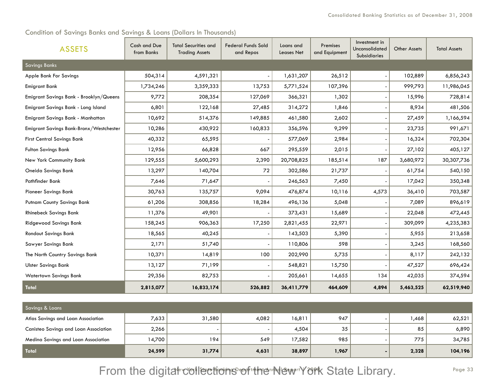Condition of Savings Banks and Savings & Loans (Dollars In Thousands)

| <b>ASSETS</b>                           | Cash and Due<br>from Banks | <b>Total Securities and</b><br><b>Trading Assets</b> | <b>Federal Funds Sold</b><br>and Repos | Loans and<br><b>Leases Net</b> | Premises<br>and Equipment | Investment in<br>Unconsolidated<br>Subsidiaries | Other Assets | <b>Total Assets</b> |
|-----------------------------------------|----------------------------|------------------------------------------------------|----------------------------------------|--------------------------------|---------------------------|-------------------------------------------------|--------------|---------------------|
| <b>Savings Banks</b>                    |                            |                                                      |                                        |                                |                           |                                                 |              |                     |
| Apple Bank For Savings                  | 504,314                    | 4,591,321                                            |                                        | 1,631,207                      | 26,512                    |                                                 | 102,889      | 6,856,243           |
| <b>Emigrant Bank</b>                    | 1,734,246                  | 3,359,333                                            | 13,753                                 | 5,771,524                      | 107,396                   |                                                 | 999,793      | 11,986,045          |
| Emigrant Savings Bank - Brooklyn/Queens | 9,772                      | 208,354                                              | 127,069                                | 366,321                        | 1,302                     |                                                 | 15,996       | 728,814             |
| Emigrant Savings Bank - Long Island     | 6,801                      | 122,168                                              | 27,485                                 | 314,272                        | 1,846                     |                                                 | 8,934        | 481,506             |
| Emigrant Savings Bank - Manhattan       | 10,692                     | 514,376                                              | 149,885                                | 461,580                        | 2,602                     |                                                 | 27,459       | 1,166,594           |
| Emigrant Savings Bank-Bronx/Westchester | 10,286                     | 430,922                                              | 160,833                                | 356,596                        | 9,299                     |                                                 | 23,735       | 991,671             |
| <b>First Central Savings Bank</b>       | 40,332                     | 65,595                                               |                                        | 577,069                        | 2,984                     |                                                 | 16,324       | 702,304             |
| <b>Fulton Savings Bank</b>              | 12,956                     | 66,828                                               | 667                                    | 295,559                        | 2,015                     |                                                 | 27,102       | 405,127             |
| New York Community Bank                 | 129,555                    | 5,600,293                                            | 2,390                                  | 20,708,825                     | 185,514                   | 187                                             | 3,680,972    | 30,307,736          |
| Oneida Savings Bank                     | 13,297                     | 140,704                                              | 72                                     | 302,586                        | 21,737                    |                                                 | 61,754       | 540,150             |
| <b>Pathfinder Bank</b>                  | 7,646                      | 71,647                                               |                                        | 246,563                        | 7,450                     |                                                 | 17,042       | 350,348             |
| <b>Pioneer Savings Bank</b>             | 30,763                     | 135,757                                              | 9,094                                  | 476,874                        | 10,116                    | 4,573                                           | 36,410       | 703,587             |
| Putnam County Savings Bank              | 61,206                     | 308,856                                              | 18,284                                 | 496,136                        | 5,048                     |                                                 | 7,089        | 896,619             |
| <b>Rhinebeck Savings Bank</b>           | 11,376                     | 49,901                                               |                                        | 373,431                        | 15,689                    |                                                 | 22,048       | 472,445             |
| <b>Ridgewood Savings Bank</b>           | 158,245                    | 906,363                                              | 17,250                                 | 2,821,455                      | 22,971                    |                                                 | 309,099      | 4,235,383           |
| Rondout Savings Bank                    | 18,565                     | 40,245                                               |                                        | 143,503                        | 5,390                     |                                                 | 5,955        | 213,658             |
| Sawyer Savings Bank                     | 2,171                      | 51,740                                               |                                        | 110,806                        | 598                       |                                                 | 3,245        | 168,560             |
| The North Country Savings Bank          | 10,371                     | 14,819                                               | 100                                    | 202,990                        | 5,735                     |                                                 | 8,117        | 242,132             |
| <b>Ulster Savings Bank</b>              | 13,127                     | 71,199                                               |                                        | 548,821                        | 15,750                    |                                                 | 47,527       | 696,424             |
| <b>Watertown Savings Bank</b>           | 29,356                     | 82,753                                               |                                        | 205,661                        | 14,655                    | 134                                             | 42,035       | 374,594             |
| <b>Total</b>                            | 2,815,077                  | 16,833,174                                           | 526,882                                | 36,411,779                     | 464,609                   | 4,894                                           | 5,463,525    | 62,519,940          |

| Savings & Loans                              |        |        |       |        |       |                |       |          |
|----------------------------------------------|--------|--------|-------|--------|-------|----------------|-------|----------|
| Atlas Savings and Loan Association           | 7,633  | 31,580 | 4,082 | 16,811 | 947   |                | .468  | 62,521   |
| <b>Canisteo Savings and Loan Association</b> | 2,266  |        |       | 4,504  | 35    |                | 85    | 6,890    |
| Medina Savings and Loan Association          | 14,700 | 194.   | 549   | 17,582 | 985   |                | 775   | 34,785   |
| <b>Total</b>                                 | 24,599 | 31,774 | 4,631 | 38,897 | 1,967 | $\blacksquare$ | 2,328 | 104, 196 |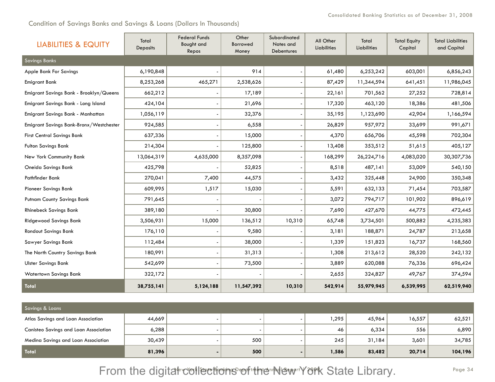Condition of Savings Banks and Savings & Loans (Dollars In Thousands)

| <b>LIABILITIES &amp; EQUITY</b>         | Total<br>Deposits | <b>Federal Funds</b><br>Bought and<br>Repos | Other<br>Borrowed<br>Money | Subordinated<br>Notes and<br><b>Debentures</b> | All Other<br>Liabilities | Total<br><b>Liabilities</b> | <b>Total Equity</b><br>Capital | <b>Total Liabilities</b><br>and Capital |
|-----------------------------------------|-------------------|---------------------------------------------|----------------------------|------------------------------------------------|--------------------------|-----------------------------|--------------------------------|-----------------------------------------|
| <b>Savings Banks</b>                    |                   |                                             |                            |                                                |                          |                             |                                |                                         |
| Apple Bank For Savings                  | 6,190,848         |                                             | 914                        |                                                | 61,480                   | 6,253,242                   | 603,001                        | 6,856,243                               |
| <b>Emigrant Bank</b>                    | 8,253,268         | 465,271                                     | 2,538,626                  |                                                | 87,429                   | 11,344,594                  | 641,451                        | 11,986,045                              |
| Emigrant Savings Bank - Brooklyn/Queens | 662,212           |                                             | 17,189                     |                                                | 22,161                   | 701,562                     | 27,252                         | 728,814                                 |
| Emigrant Savings Bank - Long Island     | 424,104           |                                             | 21,696                     |                                                | 17,320                   | 463,120                     | 18,386                         | 481,506                                 |
| Emigrant Savings Bank - Manhattan       | 1,056,119         |                                             | 32,376                     |                                                | 35,195                   | 1,123,690                   | 42,904                         | 1,166,594                               |
| Emigrant Savings Bank-Bronx/Westchester | 924,585           |                                             | 6,558                      |                                                | 26,829                   | 957,972                     | 33,699                         | 991,671                                 |
| <b>First Central Savings Bank</b>       | 637,336           |                                             | 15,000                     |                                                | 4,370                    | 656,706                     | 45,598                         | 702,304                                 |
| Fulton Savings Bank                     | 214,304           |                                             | 125,800                    |                                                | 13,408                   | 353,512                     | 51,615                         | 405,127                                 |
| New York Community Bank                 | 13,064,319        | 4,635,000                                   | 8,357,098                  |                                                | 168,299                  | 26,224,716                  | 4,083,020                      | 30,307,736                              |
| Oneida Savings Bank                     | 425,798           |                                             | 52,825                     |                                                | 8,518                    | 487,141                     | 53,009                         | 540,150                                 |
| Pathfinder Bank                         | 270,041           | 7,400                                       | 44,575                     |                                                | 3,432                    | 325,448                     | 24,900                         | 350,348                                 |
| <b>Pioneer Savings Bank</b>             | 609,995           | 1,517                                       | 15,030                     |                                                | 5,591                    | 632,133                     | 71,454                         | 703,587                                 |
| <b>Putnam County Savings Bank</b>       | 791,645           |                                             |                            |                                                | 3,072                    | 794,717                     | 101,902                        | 896,619                                 |
| <b>Rhinebeck Savings Bank</b>           | 389,180           |                                             | 30,800                     |                                                | 7,690                    | 427,670                     | 44,775                         | 472,445                                 |
| <b>Ridgewood Savings Bank</b>           | 3,506,931         | 15,000                                      | 136,512                    | 10,310                                         | 65,748                   | 3,734,501                   | 500,882                        | 4,235,383                               |
| <b>Rondout Savings Bank</b>             | 176,110           |                                             | 9,580                      |                                                | 3,181                    | 188,871                     | 24,787                         | 213,658                                 |
| Sawyer Savings Bank                     | 112,484           |                                             | 38,000                     |                                                | 1,339                    | 151,823                     | 16,737                         | 168,560                                 |
| The North Country Savings Bank          | 180,991           |                                             | 31,313                     |                                                | 1,308                    | 213,612                     | 28,520                         | 242,132                                 |
| <b>Ulster Savings Bank</b>              | 542,699           |                                             | 73,500                     |                                                | 3,889                    | 620,088                     | 76,336                         | 696,424                                 |
| <b>Watertown Savings Bank</b>           | 322,172           |                                             |                            |                                                | 2,655                    | 324,827                     | 49,767                         | 374,594                                 |
| <b>Total</b>                            | 38,755,141        | 5,124,188                                   | 11,547,392                 | 10,310                                         | 542,914                  | 55,979,945                  | 6,539,995                      | 62,519,940                              |

| Savings & Loans                              |        |  |     |  |       |        |        |         |  |  |
|----------------------------------------------|--------|--|-----|--|-------|--------|--------|---------|--|--|
| Atlas Savings and Loan Association           | 44,669 |  |     |  | ,295  | 45,964 | 16,557 | 62,521  |  |  |
| <b>Canisteo Savings and Loan Association</b> | 6,288  |  |     |  | 46    | 6,334  | 556    | 6,890   |  |  |
| Medina Savings and Loan Association          | 30,439 |  | 500 |  | 245   | 31.184 | 3,601  | 34,785  |  |  |
| <b>Total</b>                                 | 81,396 |  | 500 |  | 1,586 | 83,482 | 20,714 | 104,196 |  |  |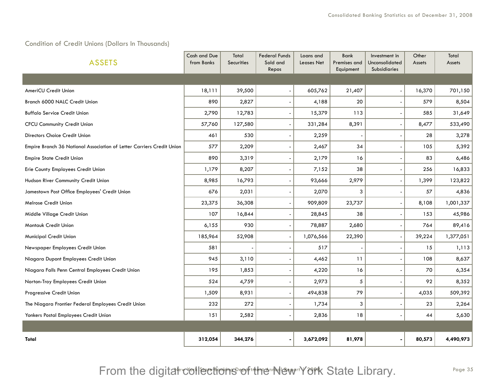## Condition of Credit Unions (Dollars In Thousands)

| <b>ASSETS</b>                                                         | Cash and Due<br>from Banks | Total<br><b>Securities</b> | <b>Federal Funds</b><br>Sold and<br>Repos | Loans and<br><b>Leases Net</b> | <b>Bank</b><br>Premises and<br>Equipment | Investment in<br>Unconsolidated<br><b>Subsidiaries</b> | Other<br>Assets | Total<br><b>Assets</b> |
|-----------------------------------------------------------------------|----------------------------|----------------------------|-------------------------------------------|--------------------------------|------------------------------------------|--------------------------------------------------------|-----------------|------------------------|
|                                                                       |                            |                            |                                           |                                |                                          |                                                        |                 |                        |
| AmeriCU Credit Union                                                  | 18,111                     | 39,500                     |                                           | 605,762                        | 21,407                                   |                                                        | 16,370          | 701,150                |
| Branch 6000 NALC Credit Union                                         | 890                        | 2,827                      |                                           | 4,188                          | 20                                       |                                                        | 579             | 8,504                  |
| <b>Buffalo Service Credit Union</b>                                   | 2,790                      | 12,783                     |                                           | 15,379                         | 113                                      |                                                        | 585             | 31,649                 |
| <b>CFCU Community Credit Union</b>                                    | 57,760                     | 127,580                    |                                           | 331,284                        | 8,391                                    |                                                        | 8,477           | 533,490                |
| Directors Choice Credit Union                                         | 461                        | 530                        |                                           | 2,259                          |                                          |                                                        | 28              | 3,278                  |
| Empire Branch 36 National Association of Letter Carriers Credit Union | 577                        | 2,209                      | $\overline{\phantom{a}}$                  | 2,467                          | 34                                       |                                                        | 105             | 5,392                  |
| <b>Empire State Credit Union</b>                                      | 890                        | 3,319                      | $\overline{\phantom{a}}$                  | 2,179                          | 16                                       |                                                        | 83              | 6,486                  |
| Erie County Employees Credit Union                                    | 1,179                      | 8,207                      |                                           | 7,152                          | 38                                       |                                                        | 256             | 16,833                 |
| Hudson River Community Credit Union                                   | 8,985                      | 16,793                     |                                           | 93,666                         | 2,979                                    |                                                        | 1,399           | 123,822                |
| Jamestown Post Office Employees' Credit Union                         | 676                        | 2,031                      | $\overline{\phantom{a}}$                  | 2,070                          | 3                                        |                                                        | 57              | 4,836                  |
| Melrose Credit Union                                                  | 23,375                     | 36,308                     |                                           | 909,809                        | 23,737                                   |                                                        | 8,108           | 1,001,337              |
| Middle Village Credit Union                                           | 107                        | 16,844                     |                                           | 28,845                         | 38                                       |                                                        | 153             | 45,986                 |
| Montauk Credit Union                                                  | 6,155                      | 930                        | $\blacksquare$                            | 78,887                         | 2,680                                    |                                                        | 764             | 89,416                 |
| Municipal Credit Union                                                | 185,964                    | 52,908                     | $\blacksquare$                            | 1,076,566                      | 22,390                                   |                                                        | 39,224          | 1,377,051              |
| Newspaper Employees Credit Union                                      | 581                        |                            |                                           | 517                            |                                          |                                                        | 15              | 1,113                  |
| Niagara Dupont Employees Credit Union                                 | 945                        | 3,110                      |                                           | 4,462                          | 11                                       |                                                        | 108             | 8,637                  |
| Niagara Falls Penn Central Employees Credit Union                     | 195                        | 1,853                      |                                           | 4,220                          | 16                                       |                                                        | 70              | 6,354                  |
| Norton-Troy Employees Credit Union                                    | 524                        | 4,759                      |                                           | 2,973                          | 5                                        |                                                        | 92              | 8,352                  |
| Progressive Credit Union                                              | 1,509                      | 8,931                      |                                           | 494,838                        | 79                                       |                                                        | 4,035           | 509,392                |
| The Niagara Frontier Federal Employees Credit Union                   | 232                        | 272                        |                                           | 1,734                          | 3                                        |                                                        | 23              | 2,264                  |
| Yonkers Postal Employees Credit Union                                 | 151                        | 2,582                      |                                           | 2,836                          | 18                                       |                                                        | 44              | 5,630                  |
|                                                                       |                            |                            |                                           |                                |                                          |                                                        |                 |                        |
| Total                                                                 | 312,054                    | 344,276                    | $\blacksquare$                            | 3,672,092                      | 81,978                                   |                                                        | 80,573          | 4,490,973              |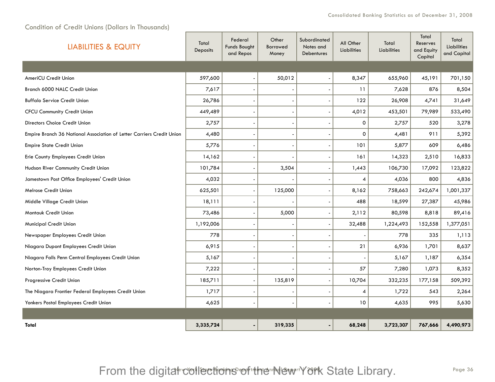## Condition of Credit Unions (Dollars In Thousands)

| <b>LIABILITIES &amp; EQUITY</b>                                       | Total<br>Deposits | Federal<br><b>Funds Bought</b><br>and Repos | Other<br><b>Borrowed</b><br>Money | Subordinated<br>Notes and<br><b>Debentures</b> | All Other<br><b>Liabilities</b> | Total<br><b>Liabilities</b> | Total<br>Reserves<br>and Equity<br>Capital | Total<br>Liabilities<br>and Capital |
|-----------------------------------------------------------------------|-------------------|---------------------------------------------|-----------------------------------|------------------------------------------------|---------------------------------|-----------------------------|--------------------------------------------|-------------------------------------|
|                                                                       |                   |                                             |                                   |                                                |                                 |                             |                                            |                                     |
| AmeriCU Credit Union                                                  | 597,600           | $\blacksquare$                              | 50,012                            |                                                | 8,347                           | 655,960                     | 45,191                                     | 701,150                             |
| Branch 6000 NALC Credit Union                                         | 7,617             | $\overline{a}$                              |                                   |                                                | 11                              | 7,628                       | 876                                        | 8,504                               |
| <b>Buffalo Service Credit Union</b>                                   | 26,786            | $\overline{\phantom{a}}$                    |                                   |                                                | 122                             | 26,908                      | 4,741                                      | 31,649                              |
| <b>CFCU Community Credit Union</b>                                    | 449,489           | $\overline{\phantom{a}}$                    |                                   |                                                | 4,012                           | 453,501                     | 79,989                                     | 533,490                             |
| Directors Choice Credit Union                                         | 2,757             | $\overline{\phantom{a}}$                    |                                   |                                                | $\mathbf 0$                     | 2,757                       | 520                                        | 3,278                               |
| Empire Branch 36 National Association of Letter Carriers Credit Union | 4,480             | ٠                                           |                                   |                                                | 0                               | 4,481                       | 911                                        | 5,392                               |
| <b>Empire State Credit Union</b>                                      | 5,776             | $\overline{\phantom{a}}$                    |                                   |                                                | 101                             | 5,877                       | 609                                        | 6,486                               |
| Erie County Employees Credit Union                                    | 14,162            | $\overline{\phantom{a}}$                    |                                   |                                                | 161                             | 14,323                      | 2,510                                      | 16,833                              |
| Hudson River Community Credit Union                                   | 101,784           | $\overline{a}$                              | 3,504                             |                                                | 1,443                           | 106,730                     | 17,092                                     | 123,822                             |
| Jamestown Post Office Employees' Credit Union                         | 4,032             | $\overline{\phantom{a}}$                    |                                   |                                                | 4                               | 4,036                       | 800                                        | 4,836                               |
| Melrose Credit Union                                                  | 625,501           | $\blacksquare$                              | 125,000                           |                                                | 8,162                           | 758,663                     | 242,674                                    | 1,001,337                           |
| Middle Village Credit Union                                           | 18,111            | $\overline{\phantom{a}}$                    |                                   |                                                | 488                             | 18,599                      | 27,387                                     | 45,986                              |
| Montauk Credit Union                                                  | 73,486            | $\overline{\phantom{a}}$                    | 5,000                             |                                                | 2,112                           | 80,598                      | 8,818                                      | 89,416                              |
| Municipal Credit Union                                                | 1,192,006         | $\overline{\phantom{a}}$                    |                                   |                                                | 32,488                          | 1,224,493                   | 152,558                                    | 1,377,051                           |
| Newspaper Employees Credit Union                                      | 778               | $\overline{\phantom{a}}$                    |                                   |                                                |                                 | 778                         | 335                                        | 1,113                               |
| Niagara Dupont Employees Credit Union                                 | 6,915             | $\overline{\phantom{a}}$                    |                                   |                                                | 21                              | 6,936                       | 1,701                                      | 8,637                               |
| Niagara Falls Penn Central Employees Credit Union                     | 5,167             | $\overline{\phantom{a}}$                    |                                   |                                                |                                 | 5,167                       | 1,187                                      | 6,354                               |
| Norton-Troy Employees Credit Union                                    | 7,222             | $\overline{\phantom{a}}$                    |                                   |                                                | 57                              | 7,280                       | 1,073                                      | 8,352                               |
| Progressive Credit Union                                              | 185,711           | $\blacksquare$                              | 135,819                           |                                                | 10,704                          | 332,235                     | 177,158                                    | 509,392                             |
| The Niagara Frontier Federal Employees Credit Union                   | 1,717             |                                             |                                   |                                                | 4                               | 1,722                       | 543                                        | 2,264                               |
| Yonkers Postal Employees Credit Union                                 | 4,625             | $\overline{\phantom{a}}$                    |                                   |                                                | 10                              | 4,635                       | 995                                        | 5,630                               |
|                                                                       |                   |                                             |                                   |                                                |                                 |                             |                                            |                                     |
| Total                                                                 | 3,335,724         | ٠                                           | 319,335                           |                                                | 68,248                          | 3,723,307                   | 767,666                                    | 4,490,973                           |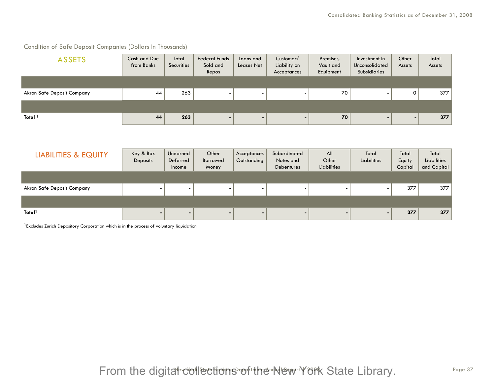| <b>ASSETS</b>              | Cash and Due<br>from Banks | Total<br>Securities | <b>Federal Funds</b><br>Sold and<br>Repos | Loans and<br>Leases Net | Customers'<br>Liability on<br>Acceptances | Premises,<br>Vault and<br>Equipment | Investment in<br>Unconsolidated<br>Subsidiaries | Other<br>Assets | Total<br>Assets |
|----------------------------|----------------------------|---------------------|-------------------------------------------|-------------------------|-------------------------------------------|-------------------------------------|-------------------------------------------------|-----------------|-----------------|
|                            |                            |                     |                                           |                         |                                           |                                     |                                                 |                 |                 |
| Akron Safe Deposit Company | 44                         | 263                 |                                           |                         |                                           | 70                                  | $\overline{\phantom{0}}$                        | 0               | 377             |
|                            |                            |                     |                                           |                         |                                           |                                     |                                                 |                 |                 |
| Total <sup>1</sup>         | 44                         | 263                 | $\blacksquare$                            |                         |                                           | 70                                  | $\blacksquare$                                  |                 | 377             |

Condition of Safe Deposit Companies (Dollars In Thousands)

| <b>LIABILITIES &amp; EQUITY</b>   | Key & Box<br>Deposits | Unearned<br>Deferred<br>Income | Other<br>Borrowed<br>Money | Acceptances<br>Outstanding | Subordinated<br>Notes and<br><b>Debentures</b> | All<br>Other<br>Liabilities | Total<br>Liabilities | Total<br>Equity<br>Capital | Total<br>Liabilities<br>and Capital |
|-----------------------------------|-----------------------|--------------------------------|----------------------------|----------------------------|------------------------------------------------|-----------------------------|----------------------|----------------------------|-------------------------------------|
|                                   |                       |                                |                            |                            |                                                |                             |                      |                            |                                     |
| <b>Akron Safe Deposit Company</b> |                       |                                |                            |                            | $\overline{\phantom{a}}$                       |                             |                      | 377                        | 377                                 |
|                                   |                       |                                |                            |                            |                                                |                             |                      |                            |                                     |
| Total <sup>1</sup>                |                       |                                |                            | -                          |                                                | $\blacksquare$              |                      | 377                        | 377                                 |

<sup>1</sup> Excludes Zurich Depository Corporation which is in the process of voluntary liquidation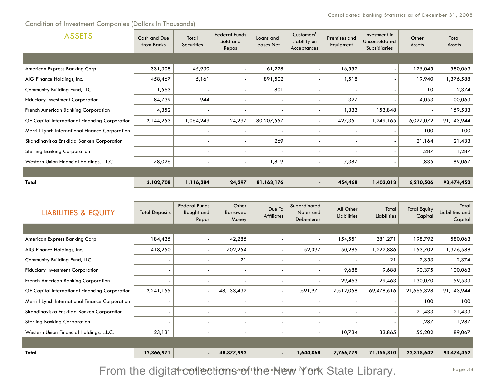## Condition of Investment Companies (Dollars In Thousands)

| <b>ASSETS</b>                                   | Cash and Due<br>from Banks | Total<br>Securities | <b>Federal Funds</b><br>Sold and<br>Repos | Loans and<br>Leases Net | Customers'<br>Liability on<br>Acceptances | Premises and<br>Equipment | Investment in<br>Unconsoidated<br>Subsidiaries | Other<br>Assets | Total<br>Assets |
|-------------------------------------------------|----------------------------|---------------------|-------------------------------------------|-------------------------|-------------------------------------------|---------------------------|------------------------------------------------|-----------------|-----------------|
|                                                 |                            |                     |                                           |                         |                                           |                           |                                                |                 |                 |
| American Express Banking Corp                   | 331,308                    | 45,930              |                                           | 61,228                  |                                           | 16,552                    |                                                | 125,045         | 580,063         |
| AIG Finance Holdings, Inc.                      | 458,467                    | 5,161               |                                           | 891,502                 |                                           | 1,518                     |                                                | 19,940          | 1,376,588       |
| Community Building Fund, LLC                    | 1,563                      |                     |                                           | 801                     |                                           |                           |                                                | 10              | 2,374           |
| <b>Fiduciary Investment Corporation</b>         | 84,739                     | 944                 |                                           |                         |                                           | 327                       |                                                | 14,053          | 100,063         |
| French American Banking Corporation             | 4,352                      |                     |                                           |                         |                                           | 1,333                     | 153,848                                        |                 | 159,533         |
| GE Capital International Financing Corporation  | 2,144,253                  | 1,064,249           | 24,297                                    | 80,207,557              |                                           | 427,351                   | 1,249,165                                      | 6,027,072       | 91,143,944      |
| Merrill Lynch International Finance Corporation |                            |                     |                                           |                         |                                           |                           |                                                | 100             | 100             |
| Skandinaviska Enskilda Banken Corporation       |                            |                     |                                           | 269                     |                                           |                           |                                                | 21,164          | 21,433          |
| <b>Sterling Banking Corporation</b>             |                            |                     |                                           |                         |                                           |                           |                                                | 1,287           | 1,287           |
| Western Union Financial Holdings, L.L.C.        | 78,026                     |                     |                                           | 1,819                   |                                           | 7,387                     |                                                | 1,835           | 89,067          |
|                                                 |                            |                     |                                           |                         |                                           |                           |                                                |                 |                 |
| Total                                           | 3,102,708                  | 1,116,284           | 24,297                                    | 81,163,176              |                                           | 454,468                   | 1,403,013                                      | 6,210,506       | 93,474,452      |

| <b>LIABILITIES &amp; EQUITY</b>                 | <b>Total Deposits</b> | <b>Federal Funds</b><br>Bought and<br>Repos | Other<br>Borrowed<br>Money | Due To<br><b>Affiliates</b> | Subordinated<br>Notes and<br>Debentures | All Other<br>Liabilities | Total<br>Liabilities | <b>Total Equity</b><br>Capital | Total<br>Liabilities and<br>Capital |
|-------------------------------------------------|-----------------------|---------------------------------------------|----------------------------|-----------------------------|-----------------------------------------|--------------------------|----------------------|--------------------------------|-------------------------------------|
|                                                 |                       |                                             |                            |                             |                                         |                          |                      |                                |                                     |
| American Express Banking Corp                   | 184,435               |                                             | 42,285                     |                             |                                         | 154,551                  | 381,271              | 198,792                        | 580,063                             |
| AIG Finance Holdings, Inc.                      | 418,250               |                                             | 702,254                    |                             | 52,097                                  | 50,285                   | 1,222,886            | 153,702                        | 1,376,588                           |
| Community Building Fund, LLC                    |                       |                                             | 21                         |                             |                                         |                          | 21                   | 2,353                          | 2,374                               |
| <b>Fiduciary Investment Corporation</b>         |                       |                                             |                            |                             |                                         | 9,688                    | 9,688                | 90,375                         | 100,063                             |
| French American Banking Corporation             |                       |                                             |                            |                             |                                         | 29,463                   | 29,463               | 130,070                        | 159,533                             |
| GE Capital International Financing Corporation  | 12,241,155            |                                             | 48,133,432                 |                             | 1,591,971                               | 7,512,058                | 69,478,616           | 21,665,328                     | 91,143,944                          |
| Merrill Lynch International Finance Corporation |                       |                                             |                            |                             |                                         |                          |                      | 100                            | 100                                 |
| Skandinaviska Enskilda Banken Corporation       |                       |                                             |                            |                             |                                         |                          |                      | 21,433                         | 21,433                              |
| <b>Sterling Banking Corporation</b>             |                       |                                             |                            |                             |                                         |                          |                      | 1,287                          | 1,287                               |
| Western Union Financial Holdings, L.L.C.        | 23,131                |                                             |                            |                             |                                         | 10,734                   | 33,865               | 55,202                         | 89,067                              |
|                                                 |                       |                                             |                            |                             |                                         |                          |                      |                                |                                     |
| Total                                           | 12,866,971            | $\sim$                                      | 48,877,992                 | ۰                           | 1,644,068                               | 7,766,779                | 71,155,810           | 22,318,642                     | 93,474,452                          |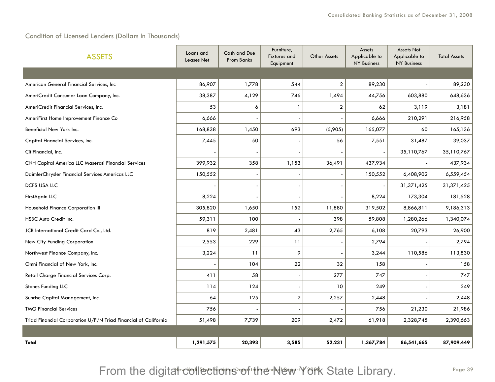## Condition of Licensed Lenders (Dollars In Thousands)

| <b>ASSETS</b>                                                   | Loans and<br>Leases Net | Cash and Due<br><b>From Banks</b> | Furniture,<br><b>Fixtures</b> and<br>Equipment | Other Assets   | Assets<br>Applicable to<br><b>NY Business</b> | <b>Assets Not</b><br>Applicable to<br><b>NY Business</b> | <b>Total Assets</b> |
|-----------------------------------------------------------------|-------------------------|-----------------------------------|------------------------------------------------|----------------|-----------------------------------------------|----------------------------------------------------------|---------------------|
|                                                                 |                         |                                   |                                                |                |                                               |                                                          |                     |
| American General Financial Services, Inc.                       | 86,907                  | 1,778                             | 544                                            | $\overline{2}$ | 89,230                                        |                                                          | 89,230              |
| AmeriCredit Consumer Loan Company, Inc.                         | 38,387                  | 4,129                             | 746                                            | 1,494          | 44,756                                        | 603,880                                                  | 648,636             |
| AmeriCredit Financial Services, Inc.                            | 53                      | 6                                 | 1                                              | $\overline{2}$ | 62                                            | 3,119                                                    | 3,181               |
| AmeriFirst Home Improvement Finance Co                          | 6,666                   |                                   |                                                |                | 6,666                                         | 210,291                                                  | 216,958             |
| Beneficial New York Inc.                                        | 168,838                 | 1,450                             | 693                                            | (5,905)        | 165,077                                       | 60                                                       | 165,136             |
| Capital Financial Services, Inc.                                | 7,445                   | 50                                |                                                | 56             | 7,551                                         | 31,487                                                   | 39,037              |
| CitiFinancial, Inc.                                             |                         |                                   |                                                |                |                                               | 35,110,767                                               | 35,110,767          |
| <b>CNH Capital America LLC Maserati Financial Services</b>      | 399,932                 | 358                               | 1,153                                          | 36,491         | 437,934                                       |                                                          | 437,934             |
| DaimlerChrysler Financial Services Americas LLC                 | 150,552                 |                                   |                                                |                | 150,552                                       | 6,408,902                                                | 6,559,454           |
| DCFS USA LLC                                                    |                         |                                   |                                                |                |                                               | 31, 371, 425                                             | 31,371,425          |
| FirstAgain LLC                                                  | 8,224                   |                                   |                                                |                | 8,224                                         | 173,304                                                  | 181,528             |
| Household Finance Corporation III                               | 305,820                 | 1,650                             | 152                                            | 11,880         | 319,502                                       | 8,866,811                                                | 9,186,313           |
| HSBC Auto Credit Inc.                                           | 59,311                  | 100                               |                                                | 398            | 59,808                                        | 1,280,266                                                | 1,340,074           |
| JCB International Credit Card Co., Ltd.                         | 819                     | 2,481                             | 43                                             | 2,765          | 6,108                                         | 20,793                                                   | 26,900              |
| New City Funding Corporation                                    | 2,553                   | 229                               | 11                                             |                | 2,794                                         |                                                          | 2,794               |
| Northwest Finance Company, Inc.                                 | 3,224                   | 11                                | 9                                              |                | 3,244                                         | 110,586                                                  | 113,830             |
| Omni Financial of New York, Inc.                                |                         | 104                               | 22                                             | 32             | 158                                           |                                                          | 158                 |
| Retail Charge Financial Services Corp.                          | 411                     | 58                                |                                                | 277            | 747                                           |                                                          | 747                 |
| Stones Funding LLC                                              | 114                     | 124                               |                                                | 10             | 249                                           |                                                          | 249                 |
| Sunrise Capital Management, Inc.                                | 64                      | 125                               | $\mathbf{2}$                                   | 2,257          | 2,448                                         |                                                          | 2,448               |
| <b>TMG Financial Services</b>                                   | 756                     |                                   |                                                |                | 756                                           | 21,230                                                   | 21,986              |
| Triad Financial Corporation U/F/N Triad Financial of California | 51,498                  | 7,739                             | 209                                            | 2,472          | 61,918                                        | 2,328,745                                                | 2,390,663           |
|                                                                 |                         |                                   |                                                |                |                                               |                                                          |                     |
| Total                                                           | 1,291,575               | 20,393                            | 3,585                                          | 52,231         | 1,367,784                                     | 86,541,665                                               | 87,909,449          |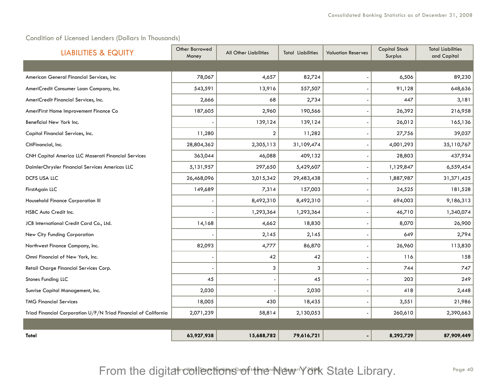## Condition of Licensed Lenders (Dollars In Thousands)

| <b>LIABILITIES &amp; EQUITY</b>                                 | Other Borrowed<br>Money | All Other Liabilities | <b>Total Liabilities</b> | <b>Valuation Reserves</b> | <b>Capital Stock</b><br>Surplus | <b>Total Liabilities</b><br>and Capital |
|-----------------------------------------------------------------|-------------------------|-----------------------|--------------------------|---------------------------|---------------------------------|-----------------------------------------|
|                                                                 |                         |                       |                          |                           |                                 |                                         |
| American General Financial Services, Inc                        | 78,067                  | 4,657                 | 82,724                   |                           | 6,506                           | 89,230                                  |
| AmeriCredit Consumer Loan Company, Inc.                         | 543,591                 | 13,916                | 557,507                  |                           | 91,128                          | 648,636                                 |
| AmeriCredit Financial Services, Inc.                            | 2,666                   | 68                    | 2,734                    |                           | 447                             | 3,181                                   |
| AmeriFirst Home Improvement Finance Co                          | 187,605                 | 2,960                 | 190,566                  |                           | 26,392                          | 216,958                                 |
| Beneficial New York Inc.                                        |                         | 139,124               | 139,124                  |                           | 26,012                          | 165,136                                 |
| Capital Financial Services, Inc.                                | 11,280                  | $\overline{2}$        | 11,282                   |                           | 27,756                          | 39,037                                  |
| CitiFinancial, Inc.                                             | 28,804,362              | 2,305,113             | 31,109,474               |                           | 4,001,293                       | 35,110,767                              |
| CNH Capital America LLC Maserati Financial Services             | 363,044                 | 46,088                | 409,132                  |                           | 28,803                          | 437,934                                 |
| DaimlerChrysler Financial Services Americas LLC                 | 5,131,957               | 297,650               | 5,429,607                |                           | 1,129,847                       | 6,559,454                               |
| DCFS USA LLC                                                    | 26,468,096              | 3,015,342             | 29,483,438               |                           | 1,887,987                       | 31,371,425                              |
| FirstAgain LLC                                                  | 149,689                 | 7,314                 | 157,003                  |                           | 24,525                          | 181,528                                 |
| Household Finance Corporation III                               |                         | 8,492,310             | 8,492,310                |                           | 694,003                         | 9,186,313                               |
| HSBC Auto Credit Inc.                                           |                         | 1,293,364             | 1,293,364                |                           | 46,710                          | 1,340,074                               |
| JCB International Credit Card Co., Ltd.                         | 14,168                  | 4,662                 | 18,830                   |                           | 8,070                           | 26,900                                  |
| New City Funding Corporation                                    |                         | 2,145                 | 2,145                    |                           | 649                             | 2,794                                   |
| Northwest Finance Company, Inc.                                 | 82,093                  | 4,777                 | 86,870                   |                           | 26,960                          | 113,830                                 |
| Omni Financial of New York, Inc.                                |                         | 42                    | 42                       |                           | 116                             | 158                                     |
| Retail Charge Financial Services Corp.                          |                         | 3                     | 3                        |                           | 744                             | 747                                     |
| Stones Funding LLC                                              | 45                      |                       | 45                       |                           | 203                             | 249                                     |
| Sunrise Capital Management, Inc.                                | 2,030                   |                       | 2,030                    |                           | 418                             | 2,448                                   |
| <b>TMG Financial Services</b>                                   | 18,005                  | 430                   | 18,435                   |                           | 3,551                           | 21,986                                  |
| Triad Financial Corporation U/F/N Triad Financial of California | 2,071,239               | 58,814                | 2,130,053                |                           | 260,610                         | 2,390,663                               |
|                                                                 |                         |                       |                          |                           |                                 |                                         |
| Total                                                           | 63,927,938              | 15,688,782            | 79,616,721               | ٠                         | 8,292,729                       | 87,909,449                              |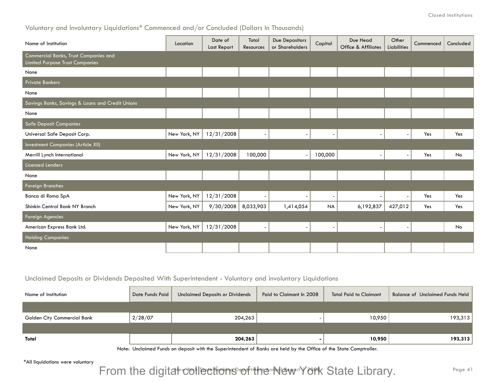## Voluntary and Involuntary Liquidations\* Commenced and/or Concluded (Dollars In Thousands)

| Name of Institution                                                             | Location     | Date of<br>Last Report | Total<br>Resources       | Due Depositors<br>or Shareholders | Capital                  | Due Head<br>Office & Affiliates | Other<br>Liabilities | Commenced | Concluded |
|---------------------------------------------------------------------------------|--------------|------------------------|--------------------------|-----------------------------------|--------------------------|---------------------------------|----------------------|-----------|-----------|
| Commercial Banks, Trust Companies and<br><b>Limited Purpose Trust Companies</b> |              |                        |                          |                                   |                          |                                 |                      |           |           |
| None                                                                            |              |                        |                          |                                   |                          |                                 |                      |           |           |
| <b>Private Bankers</b>                                                          |              |                        |                          |                                   |                          |                                 |                      |           |           |
| None                                                                            |              |                        |                          |                                   |                          |                                 |                      |           |           |
| Savings Banks, Savings & Loans and Credit Unions                                |              |                        |                          |                                   |                          |                                 |                      |           |           |
| None                                                                            |              |                        |                          |                                   |                          |                                 |                      |           |           |
| Safe Deposit Companies                                                          |              |                        |                          |                                   |                          |                                 |                      |           |           |
| Universal Safe Deposit Corp.                                                    | New York, NY | 12/31/2008             | $\overline{\phantom{a}}$ | $\overline{\phantom{a}}$          | $\overline{\phantom{a}}$ |                                 |                      | Yes       | Yes       |
| Investment Companies (Article XII)                                              |              |                        |                          |                                   |                          |                                 |                      |           |           |
| Merrill Lynch International                                                     | New York, NY | 12/31/2008             | 100,000                  | $\overline{\phantom{a}}$          | 100,000                  |                                 |                      | Yes       | No        |
| Licensed Lenders                                                                |              |                        |                          |                                   |                          |                                 |                      |           |           |
| None                                                                            |              |                        |                          |                                   |                          |                                 |                      |           |           |
| Foreign Branches                                                                |              |                        |                          |                                   |                          |                                 |                      |           |           |
| Banca di Roma SpA                                                               | New York, NY | 12/31/2008             |                          |                                   |                          |                                 |                      | Yes       | Yes       |
| Shinkin Central Bank NY Branch                                                  | New York, NY | 9/30/2008              | 8,033,903                | 1,414,054                         | <b>NA</b>                | 6,192,837                       | 427,012              | Yes       | Yes       |
| Foreign Agencies                                                                |              |                        |                          |                                   |                          |                                 |                      |           |           |
| American Express Bank Ltd.                                                      | New York, NY | 12/31/2008             | $\overline{\phantom{a}}$ | $\overline{\phantom{a}}$          | $\overline{\phantom{a}}$ |                                 |                      |           | No        |
| <b>Holding Companies</b>                                                        |              |                        |                          |                                   |                          |                                 |                      |           |           |
| None                                                                            |              |                        |                          |                                   |                          |                                 |                      |           |           |

## Unclaimed Deposits or Dividends Deposited With Superintendent - Voluntary and involuntary Liquidations

| Name of Institution         | Date Funds Paid | <b>Unclaimed Deposits or Dividends</b> | Paid to Claimant In 2008 | <b>Total Paid to Claimant</b> | <b>Balance of Unclaimed Funds Held</b> |
|-----------------------------|-----------------|----------------------------------------|--------------------------|-------------------------------|----------------------------------------|
|                             |                 |                                        |                          |                               |                                        |
| Golden City Commercial Bank | 2/28/07         | 204, 263                               |                          | 10,950                        | 193,313                                |
|                             |                 |                                        |                          |                               |                                        |
| Total                       |                 | 204, 263                               |                          | 10,950                        | 193,313                                |

Note: Unclaimed Funds on deposit with the Superintendent of Banks are held by the Office of the State Comptroller.

\*All liquidations were voluntary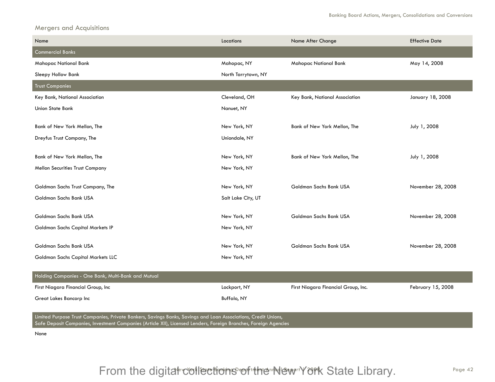## Mergers and Acquisitions

| Name                                                                                                           | Locations           | Name After Change                   | <b>Effective Date</b> |
|----------------------------------------------------------------------------------------------------------------|---------------------|-------------------------------------|-----------------------|
| <b>Commercial Banks</b>                                                                                        |                     |                                     |                       |
| Mahopac National Bank                                                                                          | Mahopac, NY         | Mahopac National Bank               | May 14, 2008          |
| Sleepy Hollow Bank                                                                                             | North Tarrytown, NY |                                     |                       |
| <b>Trust Companies</b>                                                                                         |                     |                                     |                       |
| Key Bank, National Association                                                                                 | Cleveland, OH       | Key Bank, National Association      | January 18, 2008      |
| <b>Union State Bank</b>                                                                                        | Nanuet, NY          |                                     |                       |
|                                                                                                                |                     |                                     |                       |
| Bank of New York Mellon, The                                                                                   | New York, NY        | Bank of New York Mellon, The        | July 1, 2008          |
| Dreyfus Trust Company, The                                                                                     | Uniondale, NY       |                                     |                       |
| Bank of New York Mellon, The                                                                                   | New York, NY        | Bank of New York Mellon, The        | July 1, 2008          |
|                                                                                                                |                     |                                     |                       |
| Mellon Securities Trust Company                                                                                | New York, NY        |                                     |                       |
| Goldman Sachs Trust Company, The                                                                               | New York, NY        | Goldman Sachs Bank USA              | November 28, 2008     |
| Goldman Sachs Bank USA                                                                                         | Salt Lake City, UT  |                                     |                       |
|                                                                                                                |                     |                                     |                       |
| Goldman Sachs Bank USA                                                                                         | New York, NY        | Goldman Sachs Bank USA              | November 28, 2008     |
| Goldman Sachs Capital Markets IP                                                                               | New York, NY        |                                     |                       |
|                                                                                                                |                     |                                     |                       |
| Goldman Sachs Bank USA                                                                                         | New York, NY        | Goldman Sachs Bank USA              | November 28, 2008     |
| Goldman Sachs Capital Markets LLC                                                                              | New York, NY        |                                     |                       |
| Holding Companies - One Bank, Multi-Bank and Mutual                                                            |                     |                                     |                       |
| First Niagara Financial Group, Inc                                                                             | Lockport, NY        | First Niagara Financial Group, Inc. | February 15, 2008     |
|                                                                                                                |                     |                                     |                       |
| Great Lakes Bancorp Inc                                                                                        | Buffalo, NY         |                                     |                       |
| Limited Purpose Trust Companies, Private Bankers, Savings Banks, Savings and Loan Associations, Credit Unions, |                     |                                     |                       |

Safe Deposit Companies, Investment Companies (Article XII), Licensed Lenders, Foreign Branches, Foreign Agencies

None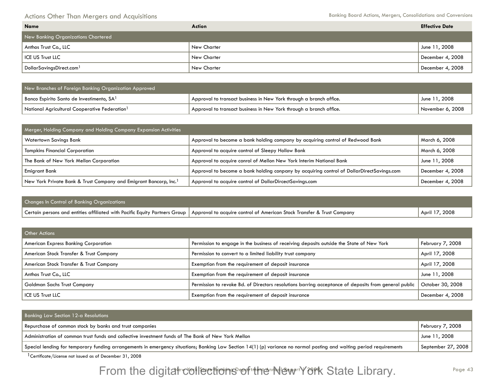## Actions Other Than Mergers and Acquisitions

Banking Board Actions, Mergers, Consolidations and Conversions

| <b>Name</b>                          | Action      | <b>Effective Date</b> |
|--------------------------------------|-------------|-----------------------|
| New Banking Organizations Chartered  |             |                       |
| Anthos Trust Co., LLC                | New Charter | June 11, 2008         |
| I ICE US Trust LLC                   | New Charter | December 4, 2008      |
| DollarSavingsDirect.com <sup>1</sup> | New Charter | December 4, 2008      |

| New Branches of Foreign Banking Organization Approved     |                                                                    |                  |  |  |  |  |  |
|-----------------------------------------------------------|--------------------------------------------------------------------|------------------|--|--|--|--|--|
| Banco Espirito Santo de Investimento, SA <sup>1</sup>     | Approval to transact business in New York through a branch office. | June 11, 2008    |  |  |  |  |  |
| National Agricultural Cooperative Federation <sup>1</sup> | Approval to transact business in New York through a branch office. | November 6, 2008 |  |  |  |  |  |

| Merger, Holding Company and Holding Company Expansion Activities              |                                                                                           |                  |  |  |  |  |  |
|-------------------------------------------------------------------------------|-------------------------------------------------------------------------------------------|------------------|--|--|--|--|--|
| <b>Watertown Savings Bank</b>                                                 | Approval to become a bank holding company by acquiring control of Redwood Bank            | March 6, 2008    |  |  |  |  |  |
| <b>Tompkins Financial Corporation</b>                                         | Approval to acquire control of Sleepy Hollow Bank                                         | March 6, 2008    |  |  |  |  |  |
| The Bank of New York Mellon Corporation                                       | Approval to acquire conrol of Mellon New York Interim National Bank                       | June 11, 2008    |  |  |  |  |  |
| Emigrant Bank                                                                 | Approval to become a bank holding conpany by acquiring control of DollarDirectSavings.com | December 4, 2008 |  |  |  |  |  |
| New York Private Bank & Trust Company and Emigrant Bancorp, Inc. <sup>1</sup> | Approval to acquire control of DollarDircectSavings.com                                   | December 4, 2008 |  |  |  |  |  |

| Changes In Control of Banking Organizations |                                                                                                                                                     |                |
|---------------------------------------------|-----------------------------------------------------------------------------------------------------------------------------------------------------|----------------|
|                                             | Certain persons and entities affiliated with Pacific Equity Partners Group   Approval to acquire control of American Stock Transfer & Trust Company | April 17, 2008 |

| <b>Other Actions</b>                        |                                                                                                      |                  |
|---------------------------------------------|------------------------------------------------------------------------------------------------------|------------------|
| <b>American Express Banking Corporation</b> | Permission to engage in the business of receiving deposits outside the State of New York             | February 7, 2008 |
| American Stock Transfer & Trust Company     | Permission to convert to a limited liability trust company                                           | April 17, 2008   |
| American Stock Transfer & Trust Company     | Exemption from the requirement of deposit insurance                                                  | April 17, 2008   |
| Anthos Trust Co., LLC                       | Exemption from the requirement of deposit insurance                                                  | June 11, 2008    |
| Goldman Sachs Trust Company                 | Permission to revoke Bd. of Directors resolutions barring acceptance of deposits from general public | October 30, 2008 |
| <b>ICE US Trust LLC</b>                     | Exemption from the requirement of deposit insurance                                                  | December 4, 2008 |

| <b>Banking Law Section 12-a Resolutions</b>                                                                                                                          |                    |
|----------------------------------------------------------------------------------------------------------------------------------------------------------------------|--------------------|
| Repurchase of common stock by banks and trust companies                                                                                                              | February 7, 2008   |
| Administration of common trust funds and collective investment funds of The Bank of New York Mellon                                                                  | June 11, 2008      |
| Special lending for temporary funding arrangements in emergency situations; Banking Law Section 14(1) (p) variance no normal posting and waiting period requirements | September 27, 2008 |

1Certificate/License not issued as of December 31, 2008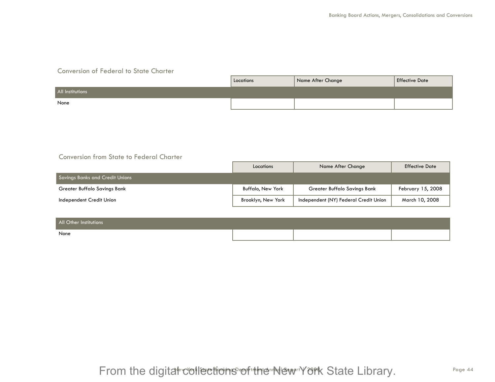## Conversion of Federal to State Charter

|                  | Locations | Name After Change | <b>Effective Date</b> |
|------------------|-----------|-------------------|-----------------------|
| All Institutions |           |                   |                       |
| None             |           |                   |                       |

## Conversion from State to Federal Charter

|                                        | Locations          | Name After Change                     |                   |
|----------------------------------------|--------------------|---------------------------------------|-------------------|
| <b>Savings Banks and Credit Unions</b> |                    |                                       |                   |
| Greater Buffalo Savings Bank           | Buffalo, New York  | <b>Greater Buffalo Savings Bank</b>   | February 15, 2008 |
| Independent Credit Union               | Brooklyn, New York | Independent (NY) Federal Credit Union | March 10, 2008    |

| All Other Institutions |  |  |
|------------------------|--|--|
| None                   |  |  |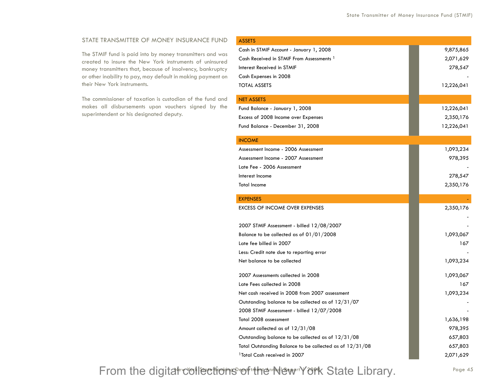## STATE TRANSMITTER OF MONEY INSURANCE FUND

The STMIF fund is paid into by money transmitters and was created to insure the New York instruments of uninsured money transmitters that, because of insolvency, bankruptcy or other inability to pay, may default in making payment on their New York instruments.

The commissioner of taxation is custodian of the fund and makes all disbursements upon vouchers signed by the superintendent or his designated deputy.

| <b>ASSETS</b>                                            |            |
|----------------------------------------------------------|------------|
| Cash in STMIF Account - January 1, 2008                  | 9,875,865  |
| Cash Received in STMIF From Assessments <sup>1</sup>     | 2,071,629  |
| Interest Received in STMIF                               | 278,547    |
| Cash Expenses in 2008                                    |            |
| <b>TOTAL ASSETS</b>                                      | 12,226,041 |
| <b>NET ASSETS</b>                                        |            |
| Fund Balance - January 1, 2008                           | 12,226,041 |
| Excess of 2008 Income over Expenses                      | 2,350,176  |
| Fund Balance - December 31, 2008                         | 12,226,041 |
| <b>INCOME</b>                                            |            |
| Assessment Income - 2006 Assessment                      | 1,093,234  |
| Assessment Income - 2007 Assessment                      | 978,395    |
| Late Fee - 2006 Assessment                               |            |
| Interest Income                                          | 278,547    |
| <b>Total Income</b>                                      | 2,350,176  |
| <b>EXPENSES</b>                                          |            |
| EXCESS OF INCOME OVER EXPENSES                           | 2,350,176  |
|                                                          |            |
| 2007 STMIF Assessment - billed 12/08/2007                |            |
| Balance to be collected as of $01/01/2008$               | 1,093,067  |
| Late fee billed in 2007                                  | 167        |
| Less: Credit note due to reporting error                 |            |
| Net balance to be collected                              | 1,093,234  |
| 2007 Assessments collected in 2008                       | 1,093,067  |
| Late Fees collected in 2008                              | 167        |
| Net cash received in 2008 from 2007 assessment           | 1,093,234  |
| Outstanding balance to be collected as of 12/31/07       |            |
| 2008 STMIF Assessment - billed 12/07/2008                |            |
| Total 2008 assessment                                    | 1,636,198  |
| Amount collected as of 12/31/08                          | 978,395    |
| Outstanding balance to be collected as of 12/31/08       | 657,803    |
| Total Outstanding Balance to be collected as of 12/31/08 | 657,803    |
| <sup>1</sup> Total Cash received in 2007                 | 2,071,629  |
|                                                          |            |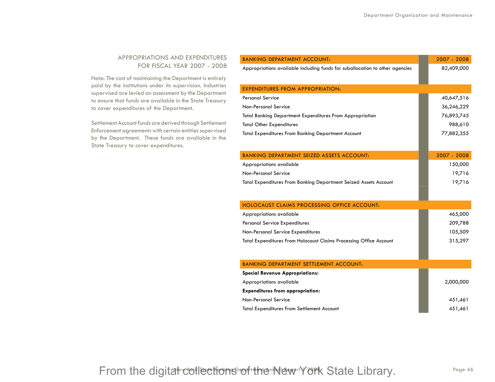## APPROPRIATIONS AND EXPENDITURES FOR FISCAL YEAR 2007 - 2008

Note: The cost of maintaining the Department is entirely paid by the institutions under its supervision. Industries supervised are levied an assessment by the Department to ensure that funds are available in the State Treasury to cover expenditures of the Department.

Settlement Account funds are derived through Settlement Enforcement agreements with certain entities supervised by the Department. These funds are available in the State Treasury to cover expenditures.

| <b>BANKING DEPARTMENT ACCOUNT:</b>                                           | 2007 - 2008   |
|------------------------------------------------------------------------------|---------------|
| Appropriations available including funds for suballocation to other agencies | 82,409,000    |
|                                                                              |               |
| <b>EXPENDITURES FROM APPROPRIATION:</b>                                      |               |
| <b>Personal Service</b>                                                      | 40,647,516    |
| Non-Personal Service                                                         | 36,246,229    |
| <b>Total Banking Department Expenditures From Appropriation</b>              | 76,893,745    |
| <b>Total Other Expenditures</b>                                              | 988,610       |
| Total Expenditures From Banking Department Account                           | 77,882,355    |
|                                                                              |               |
| BANKING DEPARTMENT SEIZED ASSETS ACCOUNT:                                    | $2007 - 2008$ |
| Appropriations available                                                     | 150,000       |
| <b>Non-Personal Service</b>                                                  | 19,716        |
| Total Expenditures From Banking Department Seized Assets Account             | 19,716        |
|                                                                              |               |
| HOLOCAUST CLAIMS PROCESSING OFFICE ACCOUNT:                                  |               |
| Appropriations available                                                     | 465,000       |
| Personal Service Expenditures                                                | 209,788       |
| Non-Personal Service Expenditures                                            | 105,509       |
| Total Expenditures From Holocaust Claims Processing Office Account           | 315,297       |
|                                                                              |               |
| <b>BANKING DEPARTMENT SETTLEMENT ACCOUNT:</b>                                |               |
| <b>Special Revenue Appropriations:</b>                                       |               |
| Appropriations available                                                     | 2,000,000     |
| <b>Expenditures from appropriation:</b>                                      |               |
| <b>Non-Personal Service</b>                                                  | 451,461       |
| <b>Total Expenditures From Settlement Account</b>                            | 451,461       |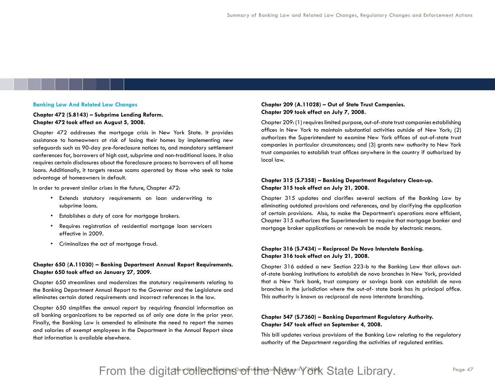#### **Banking Law And Related Law Changes**

### **Chapter 472 (S.8143) – Subprime Lending Reform. Chapter 472 took effect on August 5, 2008.**

Chapter 472 addresses the mortgage crisis in New York State. It provides assistance to homeowners at risk of losing their homes by implementing new safeguards such as 90-day pre-foreclosure notices to, and mandatory settlement conferences for, borrowers of high cost, subprime and non-traditional loans. It also requires certain disclosures about the foreclosure process to borrowers of all home loans. Additionally, it targets rescue scams operated by those who seek to take advantage of homeowners in default.

In order to prevent similar crises in the future, Chapter 472:

- Extends statutory requirements on loan underwriting to subprime loans.
- Establishes a duty of care for mortgage brokers.
- Requires registration of residential mortgage loan servicers effective in 2009.
- Criminalizes the act of mortgage fraud.

#### **Chapter 650 (A.11030) – Banking Department Annual Report Requirements. Chapter 650 took effect on January 27, 2009.**

Chapter 650 streamlines and modernizes the statutory requirements relating to the Banking Department Annual Report to the Governor and the Legislature and eliminates certain dated requirements and incorrect references in the law.

Chapter 650 simplifies the annual report by requiring financial information on all banking organizations to be reported as of only one date in the prior year. Finally, the Banking Law is amended to eliminate the need to report the names and salaries of exempt employees in the Department in the Annual Report since that information is available elsewhere.

#### **Chapter 209 (A.11028) – Out of State Trust Companies. Chapter 209 took effect on July 7, 2008.**

Chapter 209: (1) requires limited purpose, out-of-state trust companies establishing offices in New York to maintain substantial activities outside of New York; (2) authorizes the Superintendent to examine New York offices of out-of-state trust companies in particular circumstances; and (3) grants new authority to New York trust companies to establish trust offices anywhere in the country if authorized by local law.

## **Chapter 315 (S.7358) – Banking Department Regulatory Clean-up. Chapter 315 took effect on July 21, 2008.**

Chapter 315 updates and clarifies several sections of the Banking Law by eliminating outdated provisions and references, and by clarifying the application of certain provisions. Also, to make the Department's operations more efficient, Chapter 315 authorizes the Superintendent to require that mortgage banker and mortgage broker applications or renewals be made by electronic means.

### **Chapter 316 (S.7434) – Reciprocal De Novo Interstate Banking. Chapter 316 took effect on July 21, 2008.**

Chapter 316 added a new Section 223-b to the Banking Law that allows outof-state banking institutions to establish de novo branches in New York, provided that a New York bank, trust company or savings bank can establish de novo branches in the jurisdiction where the out-of- state bank has its principal office. This authority is known as reciprocal de novo interstate branching.

### **Chapter 547 (S.7360) – Banking Department Regulatory Authority. Chapter 547 took effect on September 4, 2008.**

This bill updates various provisions of the Banking Law relating to the regulatory authority of the Department regarding the activities of regulated entities.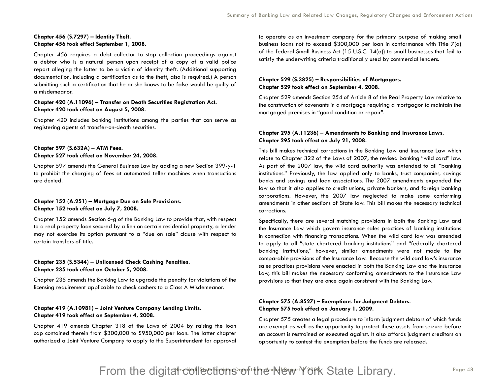## **Chapter 456 (S.7297) – Identity Theft. Chapter 456 took effect September 1, 2008.**

Chapter 456 requires a debt collector to stop collection proceedings against a debtor who is a natural person upon receipt of a copy of a valid police report alleging the latter to be a victim of identity theft. (Additional supporting documentation, including a certification as to the theft, also is required.) A person submitting such a certification that he or she knows to be false would be guilty of a misdemeanor.

## **Chapter 420 (A.11096) – Transfer on Death Securities Registration Act. Chapter 420 took effect on August 5, 2008.**

Chapter 420 includes banking institutions among the parties that can serve as registering agents of transfer-on-death securities.

## **Chapter 597 (S.632A) – ATM Fees. Chapter 527 took effect on November 24, 2008.**

Chapter 597 amends the General Business Law by adding a new Section 399-y-1 to prohibit the charging of fees at automated teller machines when transactions are denied.

## **Chapter 152 (A.251) – Mortgage Due on Sale Provisions. Chapter 152 took effect on July 7, 2008.**

Chapter 152 amends Section 6-g of the Banking Law to provide that, with respect to a real property loan secured by a lien on certain residential property, a lender may not exercise its option pursuant to a "due on sale" clause with respect to certain transfers of title.

## **Chapter 235 (S.5344) – Unlicensed Check Cashing Penalties. Chapter 235 took effect on October 5, 2008.**

Chapter 235 amends the Banking Law to upgrade the penalty for violations of the licensing requirement applicable to check cashers to a Class A Misdemeanor.

## **Chapter 419 (A.10981) – Joint Venture Company Lending Limits. Chapter 419 took effect on September 4, 2008.**

Chapter 419 amends Chapter 318 of the Laws of 2004 by raising the loan cap contained therein from \$300,000 to \$950,000 per loan. The latter chapter authorized a Joint Venture Company to apply to the Superintendent for approval

to operate as an investment company for the primary purpose of making small business loans not to exceed \$300,000 per loan in conformance with Title 7(a) of the federal Small Business Act (15 U.S.C. 14(a)) to small businesses that fail to satisfy the underwriting criteria traditionally used by commercial lenders.

## **Chapter 529 (S.3825) – Responsibilities of Mortgagors. Chapter 529 took effect on September 4, 2008.**

Chapter 529 amends Section 254 of Article 8 of the Real Property Law relative to the construction of covenants in a mortgage requiring a mortgagor to maintain the mortgaged premises in "good condition or repair".

## **Chapter 295 (A.11236) – Amendments to Banking and Insurance Laws. Chapter 295 took effect on July 21, 2008.**

This bill makes technical corrections in the Banking Law and Insurance Law which relate to Chapter 322 of the Laws of 2007, the revised banking "wild card" law. As part of the 2007 law, the wild card authority was extended to all "banking institutions." Previously, the law applied only to banks, trust companies, savings banks and savings and loan associations. The 2007 amendments expanded the law so that it also applies to credit unions, private bankers, and foreign banking corporations. However, the 2007 law neglected to make some conforming amendments in other sections of State law. This bill makes the necessary technical corrections.

Specifically, there are several matching provisions in both the Banking Law and the Insurance Law which govern insurance sales practices of banking institutions in connection with financing transactions. When the wild card law was amended to apply to all "state chartered banking institutions" and "federally chartered banking institutions," however, similar amendments were not made to the comparable provisions of the Insurance Law. Because the wild card law's insurance sales practices provisions were enacted in both the Banking Law and the Insurance Law, this bill makes the necessary conforming amendments to the Insurance Law provisions so that they are once again consistent with the Banking Law.

## **Chapter 575 (A.8527) – Exemptions for Judgment Debtors. Chapter 575 took effect on January 1, 2009.**

Chapter 575 creates a legal procedure to inform judgment debtors of which funds are exempt as well as the opportunity to protect these assets from seizure before an account is restrained or executed against. It also affords judgment creditors an opportunity to contest the exemption before the funds are released.